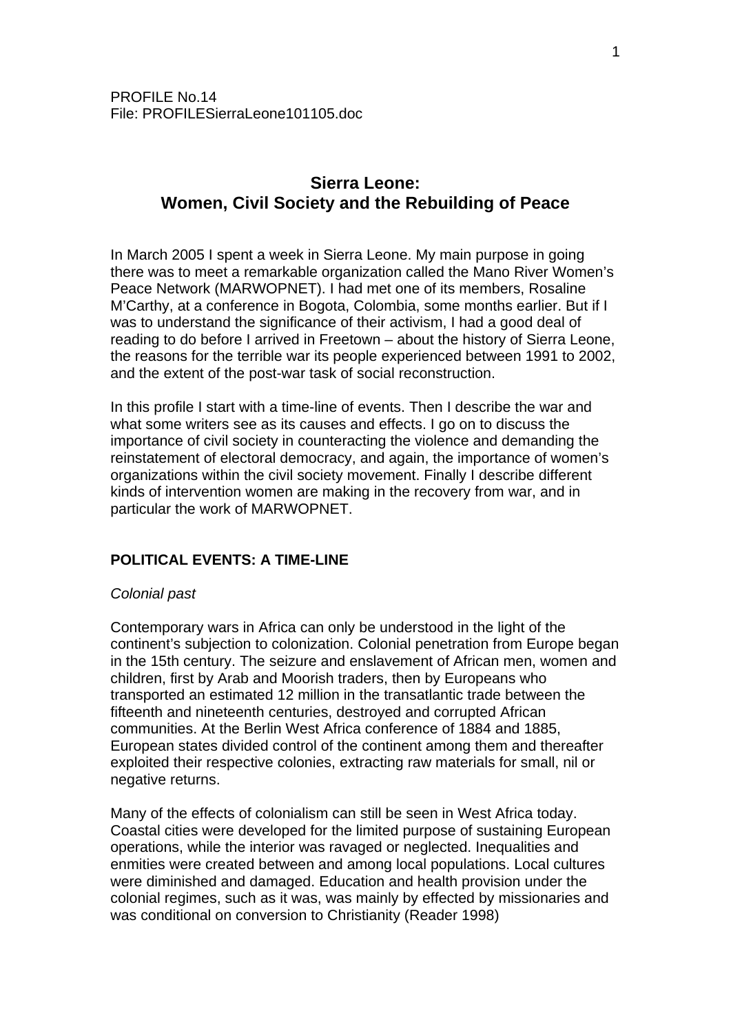# **Sierra Leone: Women, Civil Society and the Rebuilding of Peace**

In March 2005 I spent a week in Sierra Leone. My main purpose in going there was to meet a remarkable organization called the Mano River Women's Peace Network (MARWOPNET). I had met one of its members, Rosaline M'Carthy, at a conference in Bogota, Colombia, some months earlier. But if I was to understand the significance of their activism, I had a good deal of reading to do before I arrived in Freetown – about the history of Sierra Leone, the reasons for the terrible war its people experienced between 1991 to 2002, and the extent of the post-war task of social reconstruction.

In this profile I start with a time-line of events. Then I describe the war and what some writers see as its causes and effects. I go on to discuss the importance of civil society in counteracting the violence and demanding the reinstatement of electoral democracy, and again, the importance of women's organizations within the civil society movement. Finally I describe different kinds of intervention women are making in the recovery from war, and in particular the work of MARWOPNET.

# **POLITICAL EVENTS: A TIME-LINE**

#### *Colonial past*

Contemporary wars in Africa can only be understood in the light of the continent's subjection to colonization. Colonial penetration from Europe began in the 15th century. The seizure and enslavement of African men, women and children, first by Arab and Moorish traders, then by Europeans who transported an estimated 12 million in the transatlantic trade between the fifteenth and nineteenth centuries, destroyed and corrupted African communities. At the Berlin West Africa conference of 1884 and 1885, European states divided control of the continent among them and thereafter exploited their respective colonies, extracting raw materials for small, nil or negative returns.

Many of the effects of colonialism can still be seen in West Africa today. Coastal cities were developed for the limited purpose of sustaining European operations, while the interior was ravaged or neglected. Inequalities and enmities were created between and among local populations. Local cultures were diminished and damaged. Education and health provision under the colonial regimes, such as it was, was mainly by effected by missionaries and was conditional on conversion to Christianity (Reader 1998)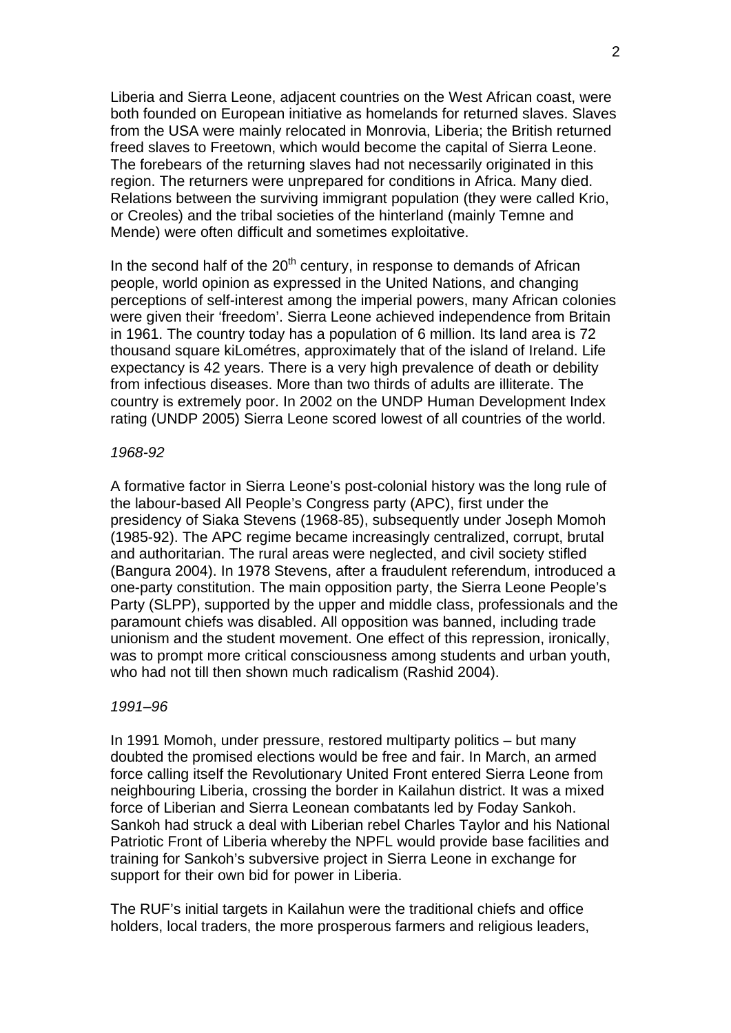Liberia and Sierra Leone, adjacent countries on the West African coast, were both founded on European initiative as homelands for returned slaves. Slaves from the USA were mainly relocated in Monrovia, Liberia; the British returned freed slaves to Freetown, which would become the capital of Sierra Leone. The forebears of the returning slaves had not necessarily originated in this region. The returners were unprepared for conditions in Africa. Many died. Relations between the surviving immigrant population (they were called Krio, or Creoles) and the tribal societies of the hinterland (mainly Temne and Mende) were often difficult and sometimes exploitative.

In the second half of the  $20<sup>th</sup>$  century, in response to demands of African people, world opinion as expressed in the United Nations, and changing perceptions of self-interest among the imperial powers, many African colonies were given their 'freedom'. Sierra Leone achieved independence from Britain in 1961. The country today has a population of 6 million. Its land area is 72 thousand square kiLométres, approximately that of the island of Ireland. Life expectancy is 42 years. There is a very high prevalence of death or debility from infectious diseases. More than two thirds of adults are illiterate. The country is extremely poor. In 2002 on the UNDP Human Development Index rating (UNDP 2005) Sierra Leone scored lowest of all countries of the world.

#### *1968-92*

A formative factor in Sierra Leone's post-colonial history was the long rule of the labour-based All People's Congress party (APC), first under the presidency of Siaka Stevens (1968-85), subsequently under Joseph Momoh (1985-92). The APC regime became increasingly centralized, corrupt, brutal and authoritarian. The rural areas were neglected, and civil society stifled (Bangura 2004). In 1978 Stevens, after a fraudulent referendum, introduced a one-party constitution. The main opposition party, the Sierra Leone People's Party (SLPP), supported by the upper and middle class, professionals and the paramount chiefs was disabled. All opposition was banned, including trade unionism and the student movement. One effect of this repression, ironically, was to prompt more critical consciousness among students and urban youth, who had not till then shown much radicalism (Rashid 2004).

#### *1991–96*

In 1991 Momoh, under pressure, restored multiparty politics – but many doubted the promised elections would be free and fair. In March, an armed force calling itself the Revolutionary United Front entered Sierra Leone from neighbouring Liberia, crossing the border in Kailahun district. It was a mixed force of Liberian and Sierra Leonean combatants led by Foday Sankoh. Sankoh had struck a deal with Liberian rebel Charles Taylor and his National Patriotic Front of Liberia whereby the NPFL would provide base facilities and training for Sankoh's subversive project in Sierra Leone in exchange for support for their own bid for power in Liberia.

The RUF's initial targets in Kailahun were the traditional chiefs and office holders, local traders, the more prosperous farmers and religious leaders,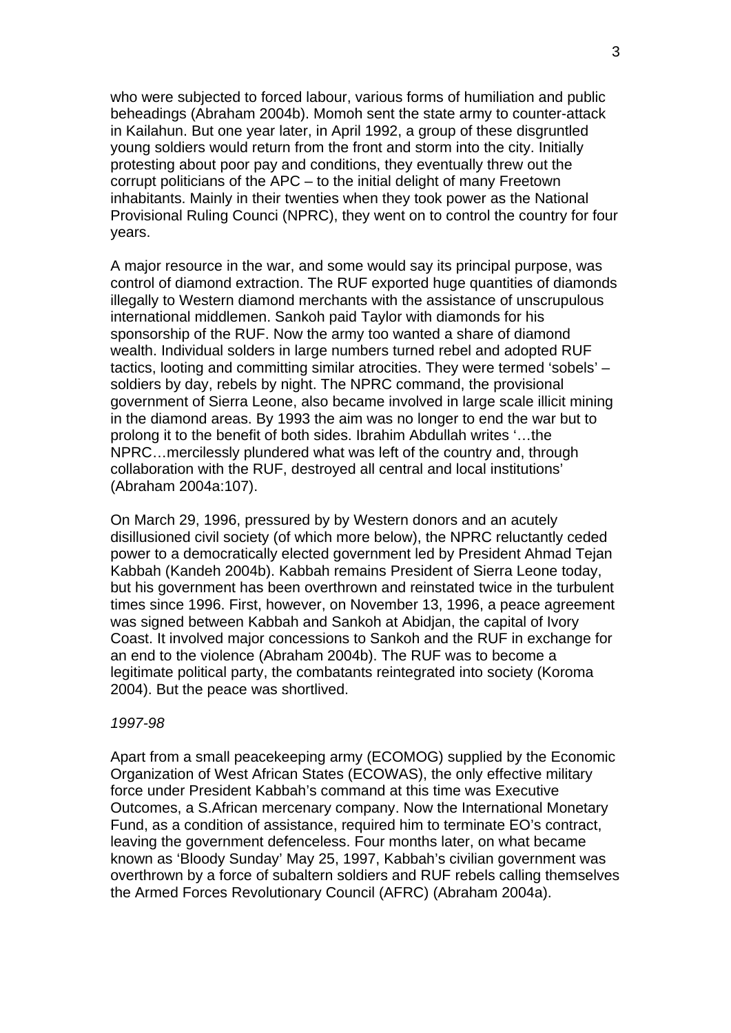who were subjected to forced labour, various forms of humiliation and public beheadings (Abraham 2004b). Momoh sent the state army to counter-attack in Kailahun. But one year later, in April 1992, a group of these disgruntled young soldiers would return from the front and storm into the city. Initially protesting about poor pay and conditions, they eventually threw out the corrupt politicians of the APC – to the initial delight of many Freetown inhabitants. Mainly in their twenties when they took power as the National Provisional Ruling Counci (NPRC), they went on to control the country for four years.

A major resource in the war, and some would say its principal purpose, was control of diamond extraction. The RUF exported huge quantities of diamonds illegally to Western diamond merchants with the assistance of unscrupulous international middlemen. Sankoh paid Taylor with diamonds for his sponsorship of the RUF. Now the army too wanted a share of diamond wealth. Individual solders in large numbers turned rebel and adopted RUF tactics, looting and committing similar atrocities. They were termed 'sobels' – soldiers by day, rebels by night. The NPRC command, the provisional government of Sierra Leone, also became involved in large scale illicit mining in the diamond areas. By 1993 the aim was no longer to end the war but to prolong it to the benefit of both sides. Ibrahim Abdullah writes '…the NPRC…mercilessly plundered what was left of the country and, through collaboration with the RUF, destroyed all central and local institutions' (Abraham 2004a:107).

On March 29, 1996, pressured by by Western donors and an acutely disillusioned civil society (of which more below), the NPRC reluctantly ceded power to a democratically elected government led by President Ahmad Tejan Kabbah (Kandeh 2004b). Kabbah remains President of Sierra Leone today, but his government has been overthrown and reinstated twice in the turbulent times since 1996. First, however, on November 13, 1996, a peace agreement was signed between Kabbah and Sankoh at Abidjan, the capital of Ivory Coast. It involved major concessions to Sankoh and the RUF in exchange for an end to the violence (Abraham 2004b). The RUF was to become a legitimate political party, the combatants reintegrated into society (Koroma 2004). But the peace was shortlived.

#### *1997-98*

Apart from a small peacekeeping army (ECOMOG) supplied by the Economic Organization of West African States (ECOWAS), the only effective military force under President Kabbah's command at this time was Executive Outcomes, a S.African mercenary company. Now the International Monetary Fund, as a condition of assistance, required him to terminate EO's contract, leaving the government defenceless. Four months later, on what became known as 'Bloody Sunday' May 25, 1997, Kabbah's civilian government was overthrown by a force of subaltern soldiers and RUF rebels calling themselves the Armed Forces Revolutionary Council (AFRC) (Abraham 2004a).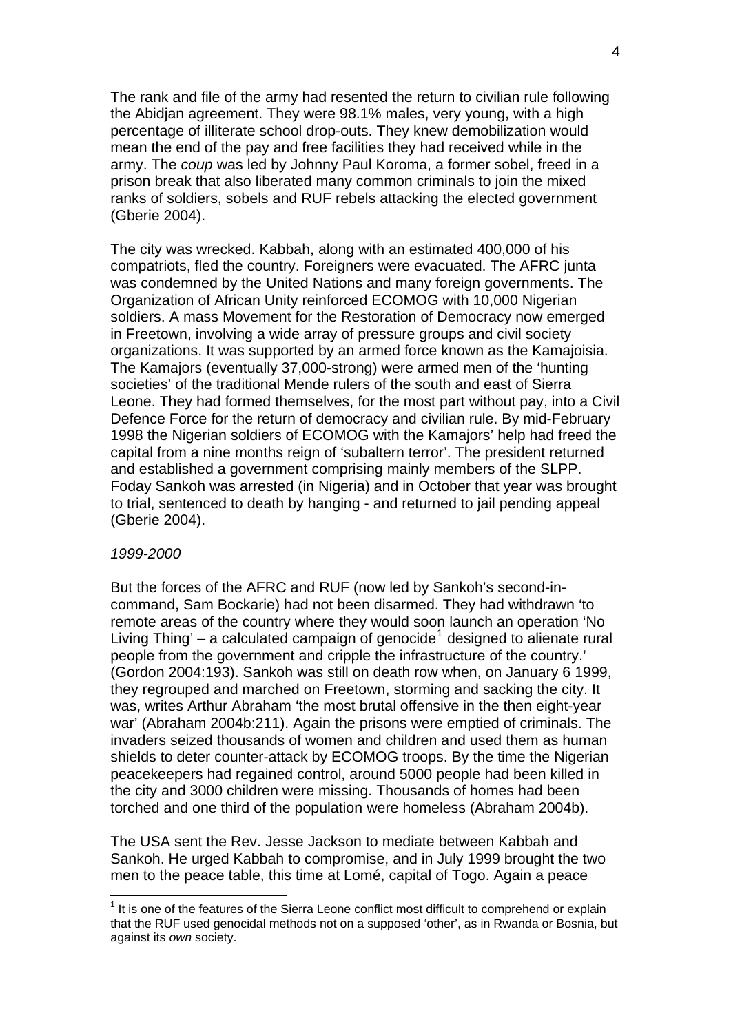The rank and file of the army had resented the return to civilian rule following the Abidjan agreement. They were 98.1% males, very young, with a high percentage of illiterate school drop-outs. They knew demobilization would mean the end of the pay and free facilities they had received while in the army. The *coup* was led by Johnny Paul Koroma, a former sobel, freed in a prison break that also liberated many common criminals to join the mixed ranks of soldiers, sobels and RUF rebels attacking the elected government (Gberie 2004).

The city was wrecked. Kabbah, along with an estimated 400,000 of his compatriots, fled the country. Foreigners were evacuated. The AFRC junta was condemned by the United Nations and many foreign governments. The Organization of African Unity reinforced ECOMOG with 10,000 Nigerian soldiers. A mass Movement for the Restoration of Democracy now emerged in Freetown, involving a wide array of pressure groups and civil society organizations. It was supported by an armed force known as the Kamajoisia. The Kamajors (eventually 37,000-strong) were armed men of the 'hunting societies' of the traditional Mende rulers of the south and east of Sierra Leone. They had formed themselves, for the most part without pay, into a Civil Defence Force for the return of democracy and civilian rule. By mid-February 1998 the Nigerian soldiers of ECOMOG with the Kamajors' help had freed the capital from a nine months reign of 'subaltern terror'. The president returned and established a government comprising mainly members of the SLPP. Foday Sankoh was arrested (in Nigeria) and in October that year was brought to trial, sentenced to death by hanging - and returned to jail pending appeal (Gberie 2004).

#### *1999-2000*

1

But the forces of the AFRC and RUF (now led by Sankoh's second-incommand, Sam Bockarie) had not been disarmed. They had withdrawn 'to remote areas of the country where they would soon launch an operation 'No Living Thing'  $-$  a calculated campaign of genocide<sup>[1](#page-3-0)</sup> designed to alienate rural people from the government and cripple the infrastructure of the country.' (Gordon 2004:193). Sankoh was still on death row when, on January 6 1999, they regrouped and marched on Freetown, storming and sacking the city. It was, writes Arthur Abraham 'the most brutal offensive in the then eight-year war' (Abraham 2004b:211). Again the prisons were emptied of criminals. The invaders seized thousands of women and children and used them as human shields to deter counter-attack by ECOMOG troops. By the time the Nigerian peacekeepers had regained control, around 5000 people had been killed in the city and 3000 children were missing. Thousands of homes had been torched and one third of the population were homeless (Abraham 2004b).

The USA sent the Rev. Jesse Jackson to mediate between Kabbah and Sankoh. He urged Kabbah to compromise, and in July 1999 brought the two men to the peace table, this time at Lomé, capital of Togo. Again a peace

<span id="page-3-0"></span><sup>&</sup>lt;sup>1</sup> It is one of the features of the Sierra Leone conflict most difficult to comprehend or explain that the RUF used genocidal methods not on a supposed 'other', as in Rwanda or Bosnia, but against its *own* society.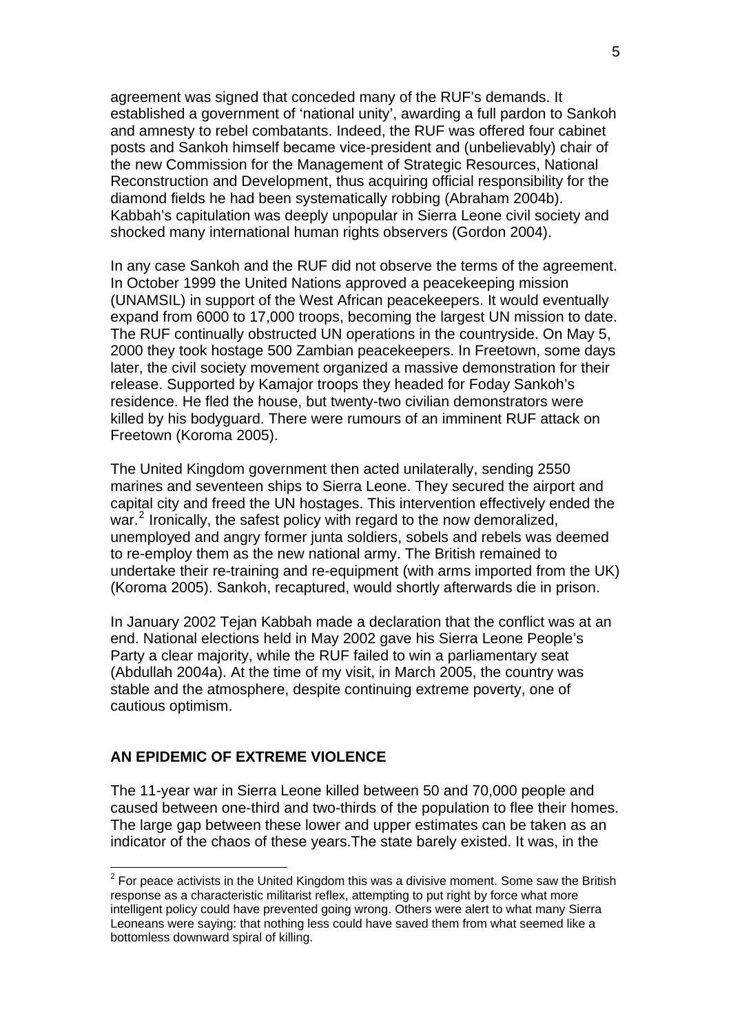agreement was signed that conceded many of the RUF's demands. It established a government of 'national unity', awarding a full pardon to Sankoh and amnesty to rebel combatants. Indeed, the RUF was offered four cabinet posts and Sankoh himself became vice-president and (unbelievably) chair of the new Commission for the Management of Strategic Resources, National Reconstruction and Development, thus acquiring official responsibility for the diamond fields he had been systematically robbing (Abraham 2004b). Kabbah's capitulation was deeply unpopular in Sierra Leone civil society and shocked many international human rights observers (Gordon 2004).

In any case Sankoh and the RUF did not observe the terms of the agreement. In October 1999 the United Nations approved a peacekeeping mission (UNAMSIL) in support of the West African peacekeepers. It would eventually expand from 6000 to 17,000 troops, becoming the largest UN mission to date. The RUF continually obstructed UN operations in the countryside. On May 5, 2000 they took hostage 500 Zambian peacekeepers. In Freetown, some days later, the civil society movement organized a massive demonstration for their release. Supported by Kamajor troops they headed for Foday Sankoh's residence. He fled the house, but twenty-two civilian demonstrators were killed by his bodyguard. There were rumours of an imminent RUF attack on Freetown (Koroma 2005).

The United Kingdom government then acted unilaterally, sending 2550 marines and seventeen ships to Sierra Leone. They secured the airport and capital city and freed the UN hostages. This intervention effectively ended the war.<sup>[2](#page-4-0)</sup> Ironically, the safest policy with regard to the now demoralized, unemployed and angry former junta soldiers, sobels and rebels was deemed to re-employ them as the new national army. The British remained to undertake their re-training and re-equipment (with arms imported from the UK) (Koroma 2005). Sankoh, recaptured, would shortly afterwards die in prison.

In January 2002 Tejan Kabbah made a declaration that the conflict was at an end. National elections held in May 2002 gave his Sierra Leone People's Party a clear majority, while the RUF failed to win a parliamentary seat (Abdullah 2004a). At the time of my visit, in March 2005, the country was stable and the atmosphere, despite continuing extreme poverty, one of cautious optimism.

# **AN EPIDEMIC OF EXTREME VIOLENCE**

1

The 11-year war in Sierra Leone killed between 50 and 70,000 people and caused between one-third and two-thirds of the population to flee their homes. The large gap between these lower and upper estimates can be taken as an indicator of the chaos of these years.The state barely existed. It was, in the

<span id="page-4-0"></span> $2$  For peace activists in the United Kingdom this was a divisive moment. Some saw the British response as a characteristic militarist reflex, attempting to put right by force what more intelligent policy could have prevented going wrong. Others were alert to what many Sierra Leoneans were saying: that nothing less could have saved them from what seemed like a bottomless downward spiral of killing.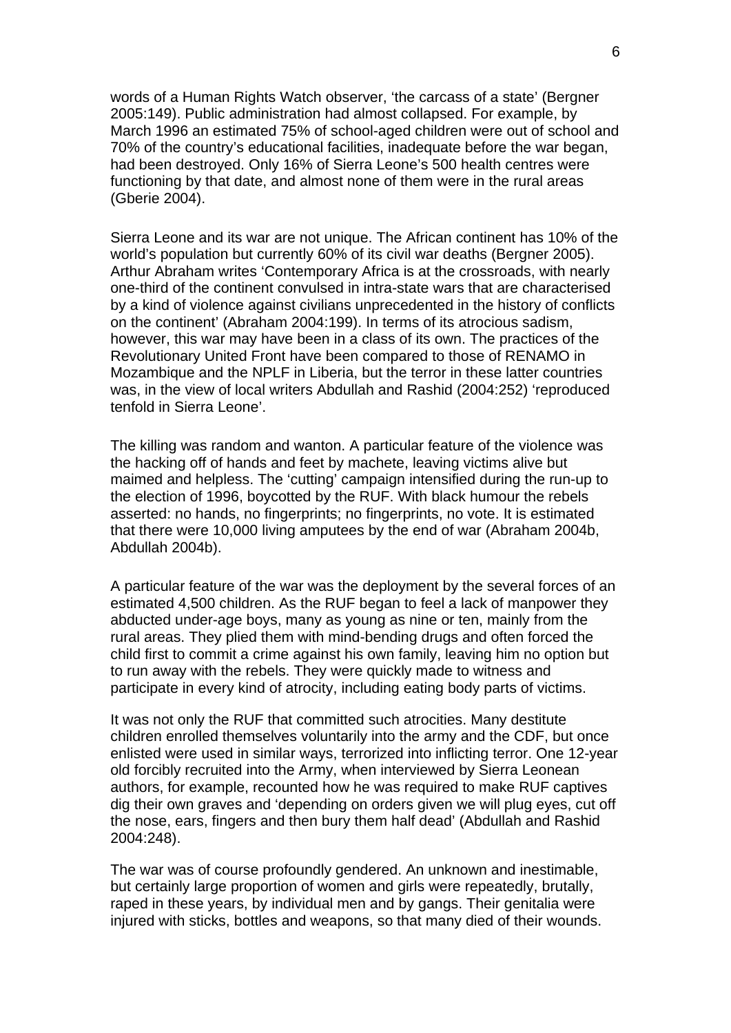words of a Human Rights Watch observer, 'the carcass of a state' (Bergner 2005:149). Public administration had almost collapsed. For example, by March 1996 an estimated 75% of school-aged children were out of school and 70% of the country's educational facilities, inadequate before the war began, had been destroyed. Only 16% of Sierra Leone's 500 health centres were functioning by that date, and almost none of them were in the rural areas (Gberie 2004).

Sierra Leone and its war are not unique. The African continent has 10% of the world's population but currently 60% of its civil war deaths (Bergner 2005). Arthur Abraham writes 'Contemporary Africa is at the crossroads, with nearly one-third of the continent convulsed in intra-state wars that are characterised by a kind of violence against civilians unprecedented in the history of conflicts on the continent' (Abraham 2004:199). In terms of its atrocious sadism, however, this war may have been in a class of its own. The practices of the Revolutionary United Front have been compared to those of RENAMO in Mozambique and the NPLF in Liberia, but the terror in these latter countries was, in the view of local writers Abdullah and Rashid (2004:252) 'reproduced tenfold in Sierra Leone'.

The killing was random and wanton. A particular feature of the violence was the hacking off of hands and feet by machete, leaving victims alive but maimed and helpless. The 'cutting' campaign intensified during the run-up to the election of 1996, boycotted by the RUF. With black humour the rebels asserted: no hands, no fingerprints; no fingerprints, no vote. It is estimated that there were 10,000 living amputees by the end of war (Abraham 2004b, Abdullah 2004b).

A particular feature of the war was the deployment by the several forces of an estimated 4,500 children. As the RUF began to feel a lack of manpower they abducted under-age boys, many as young as nine or ten, mainly from the rural areas. They plied them with mind-bending drugs and often forced the child first to commit a crime against his own family, leaving him no option but to run away with the rebels. They were quickly made to witness and participate in every kind of atrocity, including eating body parts of victims.

It was not only the RUF that committed such atrocities. Many destitute children enrolled themselves voluntarily into the army and the CDF, but once enlisted were used in similar ways, terrorized into inflicting terror. One 12-year old forcibly recruited into the Army, when interviewed by Sierra Leonean authors, for example, recounted how he was required to make RUF captives dig their own graves and 'depending on orders given we will plug eyes, cut off the nose, ears, fingers and then bury them half dead' (Abdullah and Rashid 2004:248).

The war was of course profoundly gendered. An unknown and inestimable, but certainly large proportion of women and girls were repeatedly, brutally, raped in these years, by individual men and by gangs. Their genitalia were injured with sticks, bottles and weapons, so that many died of their wounds.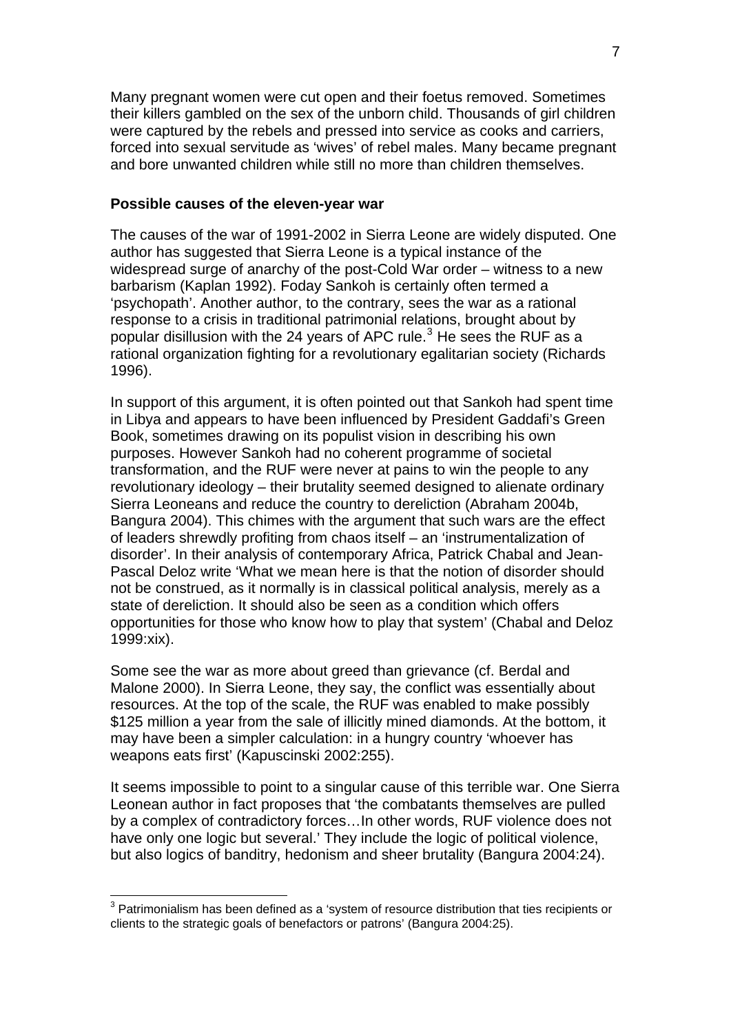Many pregnant women were cut open and their foetus removed. Sometimes their killers gambled on the sex of the unborn child. Thousands of girl children were captured by the rebels and pressed into service as cooks and carriers, forced into sexual servitude as 'wives' of rebel males. Many became pregnant and bore unwanted children while still no more than children themselves.

#### **Possible causes of the eleven-year war**

The causes of the war of 1991-2002 in Sierra Leone are widely disputed. One author has suggested that Sierra Leone is a typical instance of the widespread surge of anarchy of the post-Cold War order – witness to a new barbarism (Kaplan 1992). Foday Sankoh is certainly often termed a 'psychopath'. Another author, to the contrary, sees the war as a rational response to a crisis in traditional patrimonial relations, brought about by popular disillusion with the 24 years of APC rule. $3$  He sees the RUF as a rational organization fighting for a revolutionary egalitarian society (Richards 1996).

In support of this argument, it is often pointed out that Sankoh had spent time in Libya and appears to have been influenced by President Gaddafi's Green Book, sometimes drawing on its populist vision in describing his own purposes. However Sankoh had no coherent programme of societal transformation, and the RUF were never at pains to win the people to any revolutionary ideology – their brutality seemed designed to alienate ordinary Sierra Leoneans and reduce the country to dereliction (Abraham 2004b, Bangura 2004). This chimes with the argument that such wars are the effect of leaders shrewdly profiting from chaos itself – an 'instrumentalization of disorder'. In their analysis of contemporary Africa, Patrick Chabal and Jean-Pascal Deloz write 'What we mean here is that the notion of disorder should not be construed, as it normally is in classical political analysis, merely as a state of dereliction. It should also be seen as a condition which offers opportunities for those who know how to play that system' (Chabal and Deloz 1999:xix).

Some see the war as more about greed than grievance (cf. Berdal and Malone 2000). In Sierra Leone, they say, the conflict was essentially about resources. At the top of the scale, the RUF was enabled to make possibly \$125 million a year from the sale of illicitly mined diamonds. At the bottom, it may have been a simpler calculation: in a hungry country 'whoever has weapons eats first' (Kapuscinski 2002:255).

It seems impossible to point to a singular cause of this terrible war. One Sierra Leonean author in fact proposes that 'the combatants themselves are pulled by a complex of contradictory forces…In other words, RUF violence does not have only one logic but several.' They include the logic of political violence, but also logics of banditry, hedonism and sheer brutality (Bangura 2004:24).

1

<span id="page-6-0"></span> $3$  Patrimonialism has been defined as a 'system of resource distribution that ties recipients or clients to the strategic goals of benefactors or patrons' (Bangura 2004:25).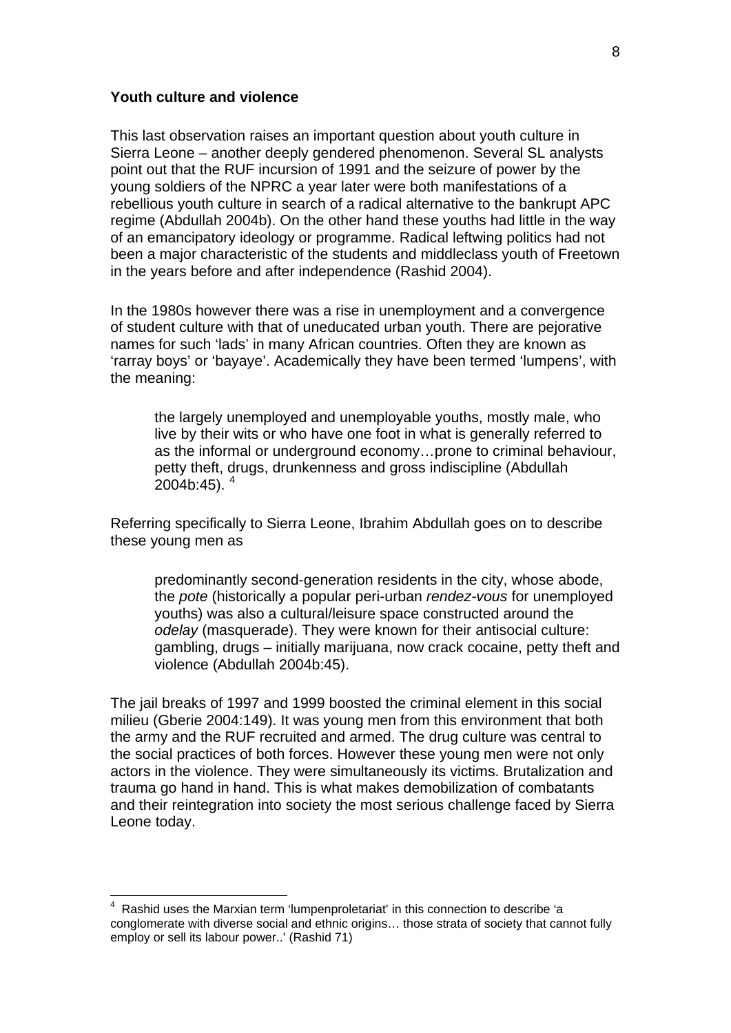#### **Youth culture and violence**

1

This last observation raises an important question about youth culture in Sierra Leone – another deeply gendered phenomenon. Several SL analysts point out that the RUF incursion of 1991 and the seizure of power by the young soldiers of the NPRC a year later were both manifestations of a rebellious youth culture in search of a radical alternative to the bankrupt APC regime (Abdullah 2004b). On the other hand these youths had little in the way of an emancipatory ideology or programme. Radical leftwing politics had not been a major characteristic of the students and middleclass youth of Freetown in the years before and after independence (Rashid 2004).

In the 1980s however there was a rise in unemployment and a convergence of student culture with that of uneducated urban youth. There are pejorative names for such 'lads' in many African countries. Often they are known as 'rarray boys' or 'bayaye'. Academically they have been termed 'lumpens', with the meaning:

the largely unemployed and unemployable youths, mostly male, who live by their wits or who have one foot in what is generally referred to as the informal or underground economy…prone to criminal behaviour, petty theft, drugs, drunkenness and gross indiscipline (Abdullah  $2004$  $2004$ b:45).  $4^{\circ}$ 

Referring specifically to Sierra Leone, Ibrahim Abdullah goes on to describe these young men as

predominantly second-generation residents in the city, whose abode, the *pote* (historically a popular peri-urban *rendez-vous* for unemployed youths) was also a cultural/leisure space constructed around the *odelay* (masquerade). They were known for their antisocial culture: gambling, drugs – initially marijuana, now crack cocaine, petty theft and violence (Abdullah 2004b:45).

The jail breaks of 1997 and 1999 boosted the criminal element in this social milieu (Gberie 2004:149). It was young men from this environment that both the army and the RUF recruited and armed. The drug culture was central to the social practices of both forces. However these young men were not only actors in the violence. They were simultaneously its victims. Brutalization and trauma go hand in hand. This is what makes demobilization of combatants and their reintegration into society the most serious challenge faced by Sierra Leone today.

<span id="page-7-0"></span><sup>&</sup>lt;sup>4</sup> Rashid uses the Marxian term 'lumpenproletariat' in this connection to describe 'a conglomerate with diverse social and ethnic origins… those strata of society that cannot fully employ or sell its labour power..' (Rashid 71)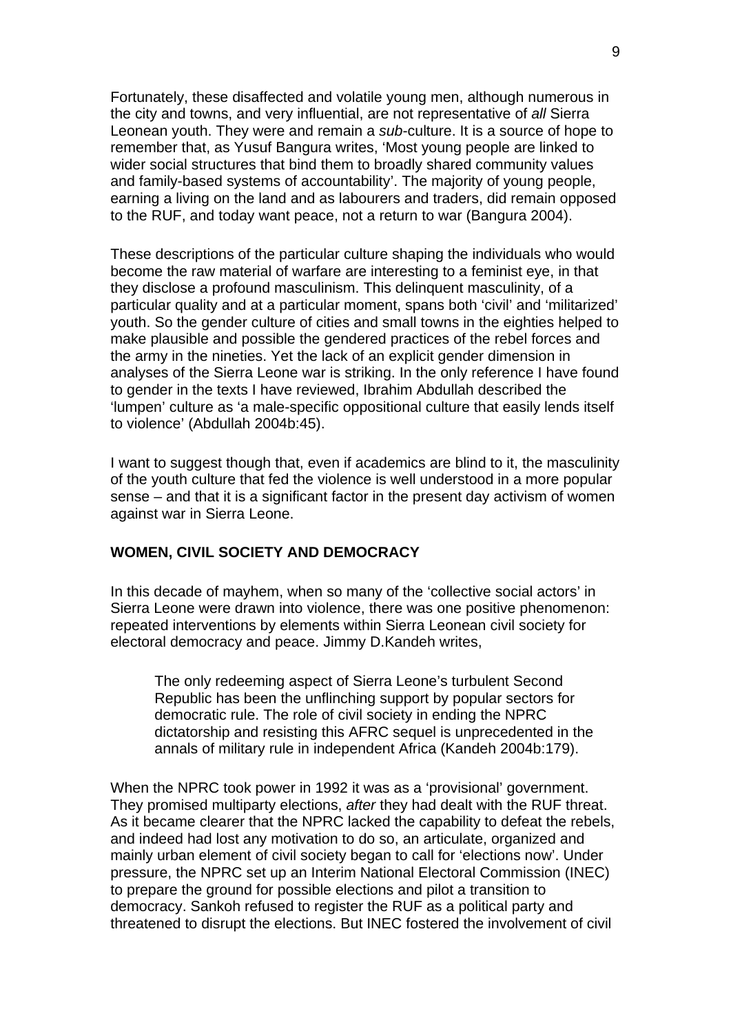Fortunately, these disaffected and volatile young men, although numerous in the city and towns, and very influential, are not representative of *all* Sierra Leonean youth. They were and remain a *sub*-culture. It is a source of hope to remember that, as Yusuf Bangura writes, 'Most young people are linked to wider social structures that bind them to broadly shared community values and family-based systems of accountability'. The majority of young people, earning a living on the land and as labourers and traders, did remain opposed to the RUF, and today want peace, not a return to war (Bangura 2004).

These descriptions of the particular culture shaping the individuals who would become the raw material of warfare are interesting to a feminist eye, in that they disclose a profound masculinism. This delinquent masculinity, of a particular quality and at a particular moment, spans both 'civil' and 'militarized' youth. So the gender culture of cities and small towns in the eighties helped to make plausible and possible the gendered practices of the rebel forces and the army in the nineties. Yet the lack of an explicit gender dimension in analyses of the Sierra Leone war is striking. In the only reference I have found to gender in the texts I have reviewed, Ibrahim Abdullah described the 'lumpen' culture as 'a male-specific oppositional culture that easily lends itself to violence' (Abdullah 2004b:45).

I want to suggest though that, even if academics are blind to it, the masculinity of the youth culture that fed the violence is well understood in a more popular sense – and that it is a significant factor in the present day activism of women against war in Sierra Leone.

### **WOMEN, CIVIL SOCIETY AND DEMOCRACY**

In this decade of mayhem, when so many of the 'collective social actors' in Sierra Leone were drawn into violence, there was one positive phenomenon: repeated interventions by elements within Sierra Leonean civil society for electoral democracy and peace. Jimmy D.Kandeh writes,

The only redeeming aspect of Sierra Leone's turbulent Second Republic has been the unflinching support by popular sectors for democratic rule. The role of civil society in ending the NPRC dictatorship and resisting this AFRC sequel is unprecedented in the annals of military rule in independent Africa (Kandeh 2004b:179).

When the NPRC took power in 1992 it was as a 'provisional' government. They promised multiparty elections, *after* they had dealt with the RUF threat. As it became clearer that the NPRC lacked the capability to defeat the rebels, and indeed had lost any motivation to do so, an articulate, organized and mainly urban element of civil society began to call for 'elections now'. Under pressure, the NPRC set up an Interim National Electoral Commission (INEC) to prepare the ground for possible elections and pilot a transition to democracy. Sankoh refused to register the RUF as a political party and threatened to disrupt the elections. But INEC fostered the involvement of civil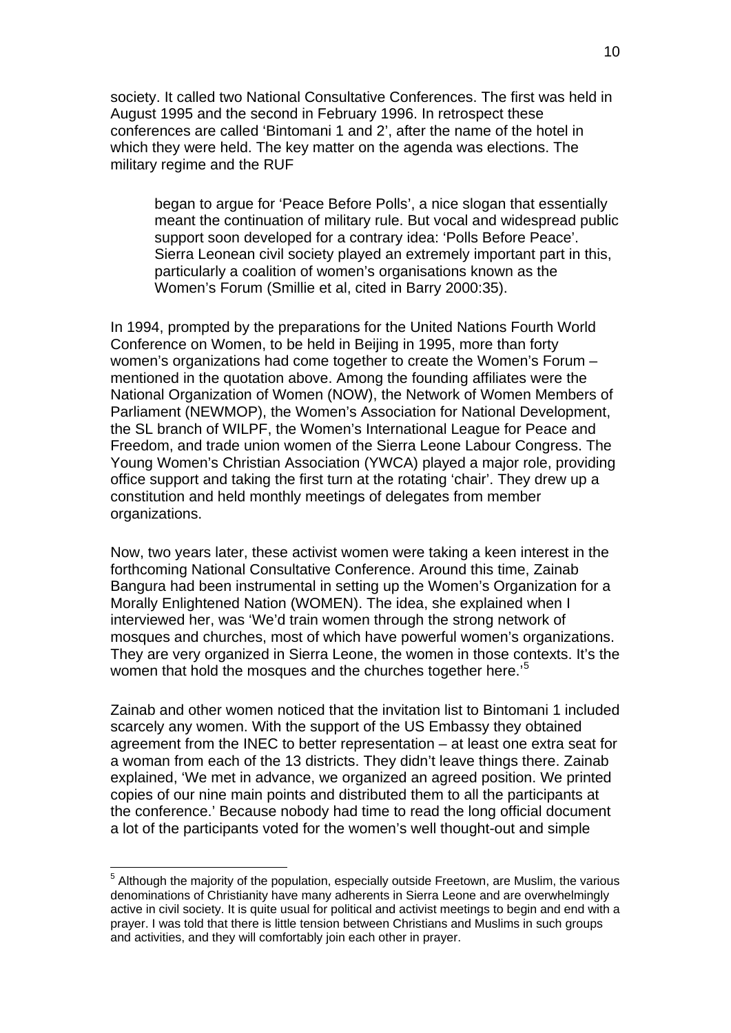society. It called two National Consultative Conferences. The first was held in August 1995 and the second in February 1996. In retrospect these conferences are called 'Bintomani 1 and 2', after the name of the hotel in which they were held. The key matter on the agenda was elections. The military regime and the RUF

began to argue for 'Peace Before Polls', a nice slogan that essentially meant the continuation of military rule. But vocal and widespread public support soon developed for a contrary idea: 'Polls Before Peace'. Sierra Leonean civil society played an extremely important part in this, particularly a coalition of women's organisations known as the Women's Forum (Smillie et al, cited in Barry 2000:35).

In 1994, prompted by the preparations for the United Nations Fourth World Conference on Women, to be held in Beijing in 1995, more than forty women's organizations had come together to create the Women's Forum – mentioned in the quotation above. Among the founding affiliates were the National Organization of Women (NOW), the Network of Women Members of Parliament (NEWMOP), the Women's Association for National Development, the SL branch of WILPF, the Women's International League for Peace and Freedom, and trade union women of the Sierra Leone Labour Congress. The Young Women's Christian Association (YWCA) played a major role, providing office support and taking the first turn at the rotating 'chair'. They drew up a constitution and held monthly meetings of delegates from member organizations.

Now, two years later, these activist women were taking a keen interest in the forthcoming National Consultative Conference. Around this time, Zainab Bangura had been instrumental in setting up the Women's Organization for a Morally Enlightened Nation (WOMEN). The idea, she explained when I interviewed her, was 'We'd train women through the strong network of mosques and churches, most of which have powerful women's organizations. They are very organized in Sierra Leone, the women in those contexts. It's the women that hold the mosques and the churches together here.<sup>'[5](#page-9-0)</sup>

Zainab and other women noticed that the invitation list to Bintomani 1 included scarcely any women. With the support of the US Embassy they obtained agreement from the INEC to better representation – at least one extra seat for a woman from each of the 13 districts. They didn't leave things there. Zainab explained, 'We met in advance, we organized an agreed position. We printed copies of our nine main points and distributed them to all the participants at the conference.' Because nobody had time to read the long official document a lot of the participants voted for the women's well thought-out and simple

1

<span id="page-9-0"></span><sup>&</sup>lt;sup>5</sup> Although the majority of the population, especially outside Freetown, are Muslim, the various denominations of Christianity have many adherents in Sierra Leone and are overwhelmingly active in civil society. It is quite usual for political and activist meetings to begin and end with a prayer. I was told that there is little tension between Christians and Muslims in such groups and activities, and they will comfortably join each other in prayer.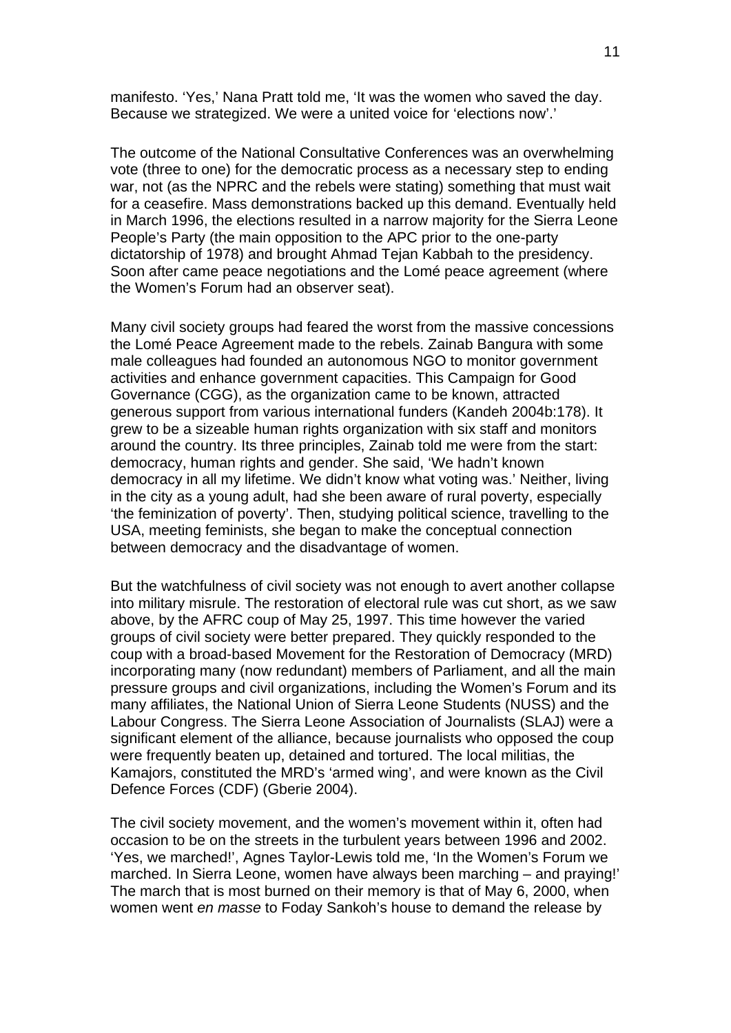manifesto. 'Yes,' Nana Pratt told me, 'It was the women who saved the day. Because we strategized. We were a united voice for 'elections now'.'

The outcome of the National Consultative Conferences was an overwhelming vote (three to one) for the democratic process as a necessary step to ending war, not (as the NPRC and the rebels were stating) something that must wait for a ceasefire. Mass demonstrations backed up this demand. Eventually held in March 1996, the elections resulted in a narrow majority for the Sierra Leone People's Party (the main opposition to the APC prior to the one-party dictatorship of 1978) and brought Ahmad Tejan Kabbah to the presidency. Soon after came peace negotiations and the Lomé peace agreement (where the Women's Forum had an observer seat).

Many civil society groups had feared the worst from the massive concessions the Lomé Peace Agreement made to the rebels. Zainab Bangura with some male colleagues had founded an autonomous NGO to monitor government activities and enhance government capacities. This Campaign for Good Governance (CGG), as the organization came to be known, attracted generous support from various international funders (Kandeh 2004b:178). It grew to be a sizeable human rights organization with six staff and monitors around the country. Its three principles, Zainab told me were from the start: democracy, human rights and gender. She said, 'We hadn't known democracy in all my lifetime. We didn't know what voting was.' Neither, living in the city as a young adult, had she been aware of rural poverty, especially 'the feminization of poverty'. Then, studying political science, travelling to the USA, meeting feminists, she began to make the conceptual connection between democracy and the disadvantage of women.

But the watchfulness of civil society was not enough to avert another collapse into military misrule. The restoration of electoral rule was cut short, as we saw above, by the AFRC coup of May 25, 1997. This time however the varied groups of civil society were better prepared. They quickly responded to the coup with a broad-based Movement for the Restoration of Democracy (MRD) incorporating many (now redundant) members of Parliament, and all the main pressure groups and civil organizations, including the Women's Forum and its many affiliates, the National Union of Sierra Leone Students (NUSS) and the Labour Congress. The Sierra Leone Association of Journalists (SLAJ) were a significant element of the alliance, because journalists who opposed the coup were frequently beaten up, detained and tortured. The local militias, the Kamajors, constituted the MRD's 'armed wing', and were known as the Civil Defence Forces (CDF) (Gberie 2004).

The civil society movement, and the women's movement within it, often had occasion to be on the streets in the turbulent years between 1996 and 2002. 'Yes, we marched!', Agnes Taylor-Lewis told me, 'In the Women's Forum we marched. In Sierra Leone, women have always been marching – and praying!' The march that is most burned on their memory is that of May 6, 2000, when women went *en masse* to Foday Sankoh's house to demand the release by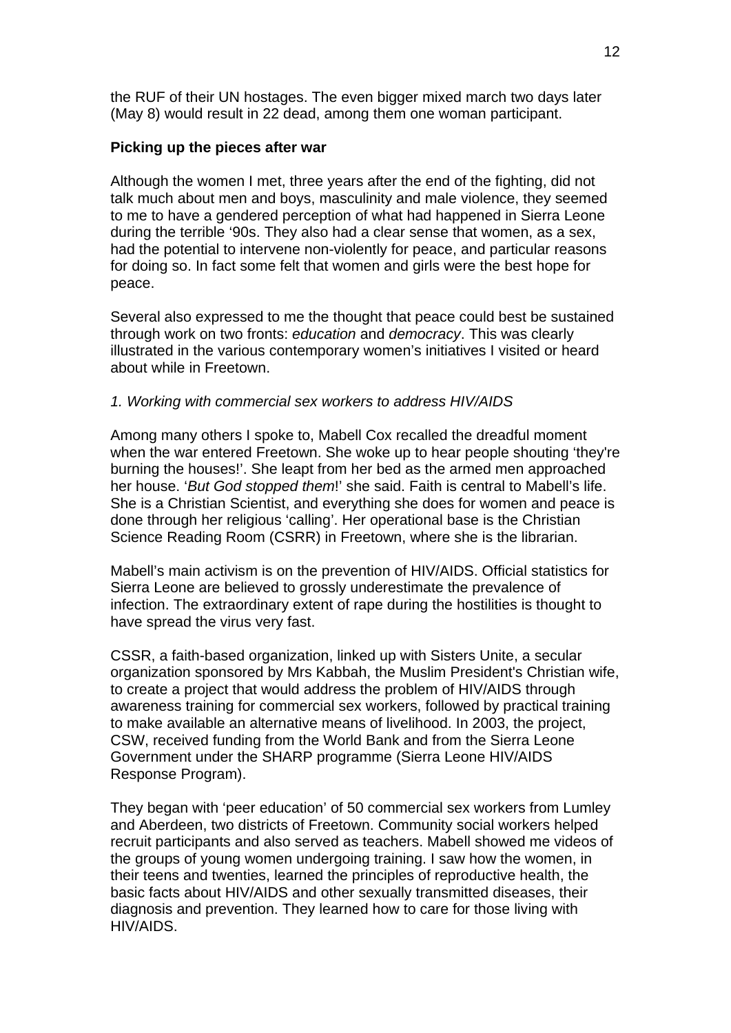the RUF of their UN hostages. The even bigger mixed march two days later (May 8) would result in 22 dead, among them one woman participant.

# **Picking up the pieces after war**

Although the women I met, three years after the end of the fighting, did not talk much about men and boys, masculinity and male violence, they seemed to me to have a gendered perception of what had happened in Sierra Leone during the terrible '90s. They also had a clear sense that women, as a sex, had the potential to intervene non-violently for peace, and particular reasons for doing so. In fact some felt that women and girls were the best hope for peace.

Several also expressed to me the thought that peace could best be sustained through work on two fronts: *education* and *democracy*. This was clearly illustrated in the various contemporary women's initiatives I visited or heard about while in Freetown.

### *1. Working with commercial sex workers to address HIV/AIDS*

Among many others I spoke to, Mabell Cox recalled the dreadful moment when the war entered Freetown. She woke up to hear people shouting 'they're burning the houses!'. She leapt from her bed as the armed men approached her house. '*But God stopped them*!' she said. Faith is central to Mabell's life. She is a Christian Scientist, and everything she does for women and peace is done through her religious 'calling'. Her operational base is the Christian Science Reading Room (CSRR) in Freetown, where she is the librarian.

Mabell's main activism is on the prevention of HIV/AIDS. Official statistics for Sierra Leone are believed to grossly underestimate the prevalence of infection. The extraordinary extent of rape during the hostilities is thought to have spread the virus very fast.

CSSR, a faith-based organization, linked up with Sisters Unite, a secular organization sponsored by Mrs Kabbah, the Muslim President's Christian wife, to create a project that would address the problem of HIV/AIDS through awareness training for commercial sex workers, followed by practical training to make available an alternative means of livelihood. In 2003, the project, CSW, received funding from the World Bank and from the Sierra Leone Government under the SHARP programme (Sierra Leone HIV/AIDS Response Program).

They began with 'peer education' of 50 commercial sex workers from Lumley and Aberdeen, two districts of Freetown. Community social workers helped recruit participants and also served as teachers. Mabell showed me videos of the groups of young women undergoing training. I saw how the women, in their teens and twenties, learned the principles of reproductive health, the basic facts about HIV/AIDS and other sexually transmitted diseases, their diagnosis and prevention. They learned how to care for those living with HIV/AIDS.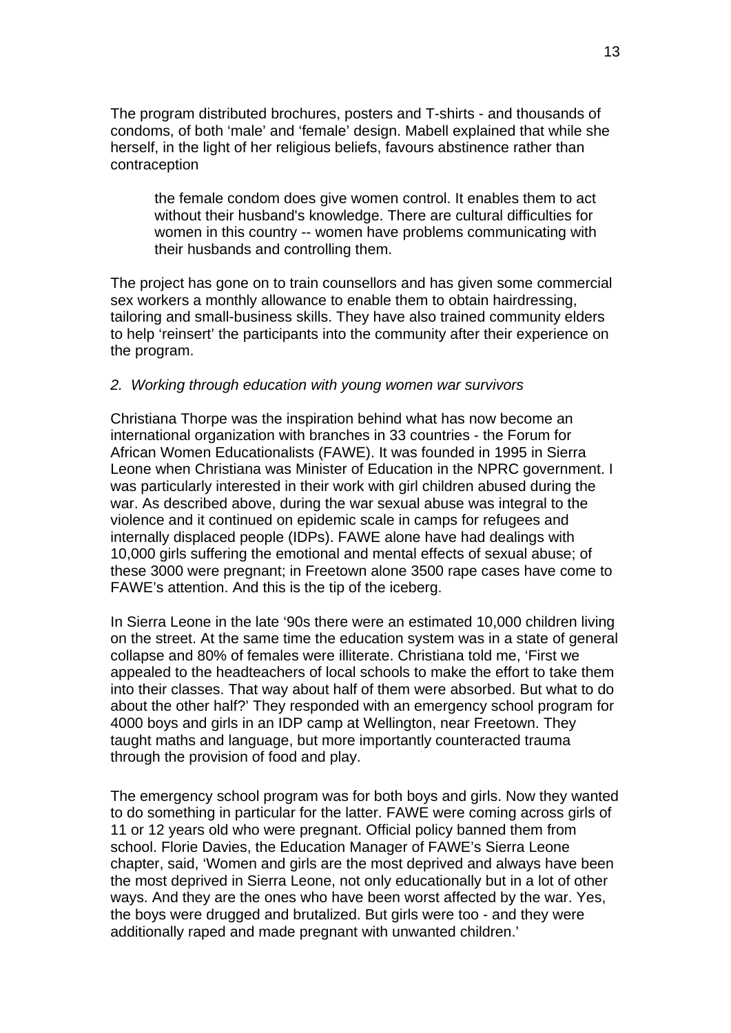The program distributed brochures, posters and T-shirts - and thousands of condoms, of both 'male' and 'female' design. Mabell explained that while she herself, in the light of her religious beliefs, favours abstinence rather than contraception

the female condom does give women control. It enables them to act without their husband's knowledge. There are cultural difficulties for women in this country -- women have problems communicating with their husbands and controlling them.

The project has gone on to train counsellors and has given some commercial sex workers a monthly allowance to enable them to obtain hairdressing, tailoring and small-business skills. They have also trained community elders to help 'reinsert' the participants into the community after their experience on the program.

### *2. Working through education with young women war survivors*

Christiana Thorpe was the inspiration behind what has now become an international organization with branches in 33 countries - the Forum for African Women Educationalists (FAWE). It was founded in 1995 in Sierra Leone when Christiana was Minister of Education in the NPRC government. I was particularly interested in their work with girl children abused during the war. As described above, during the war sexual abuse was integral to the violence and it continued on epidemic scale in camps for refugees and internally displaced people (IDPs). FAWE alone have had dealings with 10,000 girls suffering the emotional and mental effects of sexual abuse; of these 3000 were pregnant; in Freetown alone 3500 rape cases have come to FAWE's attention. And this is the tip of the iceberg.

In Sierra Leone in the late '90s there were an estimated 10,000 children living on the street. At the same time the education system was in a state of general collapse and 80% of females were illiterate. Christiana told me, 'First we appealed to the headteachers of local schools to make the effort to take them into their classes. That way about half of them were absorbed. But what to do about the other half?' They responded with an emergency school program for 4000 boys and girls in an IDP camp at Wellington, near Freetown. They taught maths and language, but more importantly counteracted trauma through the provision of food and play.

The emergency school program was for both boys and girls. Now they wanted to do something in particular for the latter. FAWE were coming across girls of 11 or 12 years old who were pregnant. Official policy banned them from school. Florie Davies, the Education Manager of FAWE's Sierra Leone chapter, said, 'Women and girls are the most deprived and always have been the most deprived in Sierra Leone, not only educationally but in a lot of other ways. And they are the ones who have been worst affected by the war. Yes, the boys were drugged and brutalized. But girls were too - and they were additionally raped and made pregnant with unwanted children.'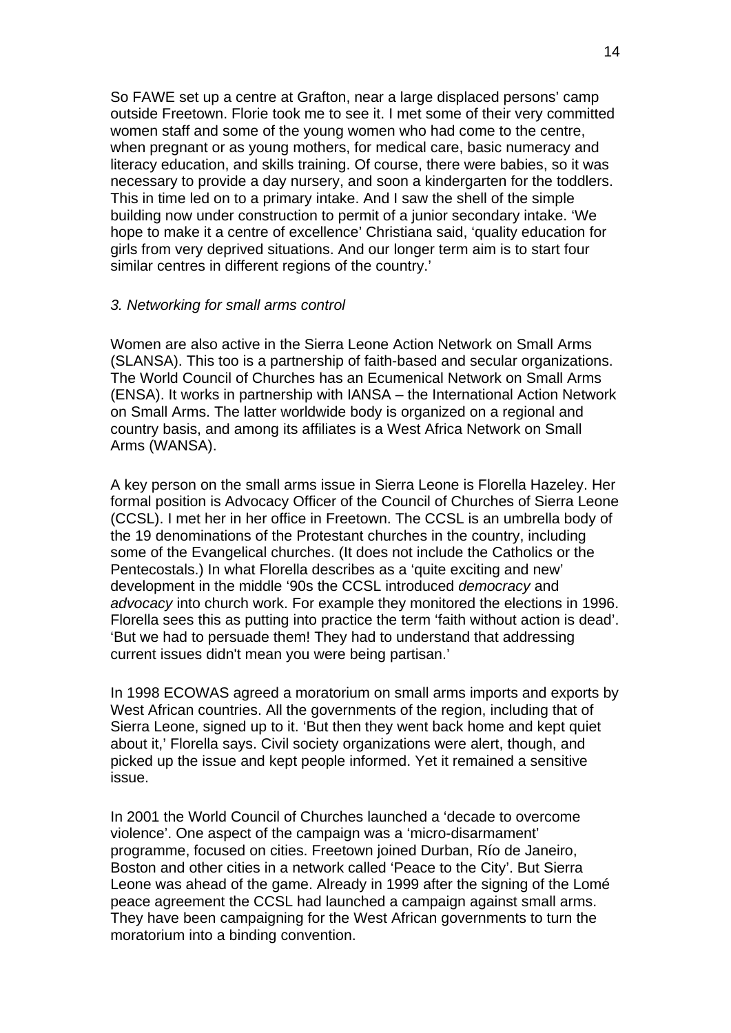So FAWE set up a centre at Grafton, near a large displaced persons' camp outside Freetown. Florie took me to see it. I met some of their very committed women staff and some of the young women who had come to the centre, when pregnant or as young mothers, for medical care, basic numeracy and literacy education, and skills training. Of course, there were babies, so it was necessary to provide a day nursery, and soon a kindergarten for the toddlers. This in time led on to a primary intake. And I saw the shell of the simple building now under construction to permit of a junior secondary intake. 'We hope to make it a centre of excellence' Christiana said, 'quality education for girls from very deprived situations. And our longer term aim is to start four similar centres in different regions of the country.'

### *3. Networking for small arms control*

Women are also active in the Sierra Leone Action Network on Small Arms (SLANSA). This too is a partnership of faith-based and secular organizations. The World Council of Churches has an Ecumenical Network on Small Arms (ENSA). It works in partnership with IANSA – the International Action Network on Small Arms. The latter worldwide body is organized on a regional and country basis, and among its affiliates is a West Africa Network on Small Arms (WANSA).

A key person on the small arms issue in Sierra Leone is Florella Hazeley. Her formal position is Advocacy Officer of the Council of Churches of Sierra Leone (CCSL). I met her in her office in Freetown. The CCSL is an umbrella body of the 19 denominations of the Protestant churches in the country, including some of the Evangelical churches. (It does not include the Catholics or the Pentecostals.) In what Florella describes as a 'quite exciting and new' development in the middle '90s the CCSL introduced *democracy* and *advocacy* into church work. For example they monitored the elections in 1996. Florella sees this as putting into practice the term 'faith without action is dead'. 'But we had to persuade them! They had to understand that addressing current issues didn't mean you were being partisan.'

In 1998 ECOWAS agreed a moratorium on small arms imports and exports by West African countries. All the governments of the region, including that of Sierra Leone, signed up to it. 'But then they went back home and kept quiet about it,' Florella says. Civil society organizations were alert, though, and picked up the issue and kept people informed. Yet it remained a sensitive issue.

In 2001 the World Council of Churches launched a 'decade to overcome violence'. One aspect of the campaign was a 'micro-disarmament' programme, focused on cities. Freetown joined Durban, Río de Janeiro, Boston and other cities in a network called 'Peace to the City'. But Sierra Leone was ahead of the game. Already in 1999 after the signing of the Lomé peace agreement the CCSL had launched a campaign against small arms. They have been campaigning for the West African governments to turn the moratorium into a binding convention.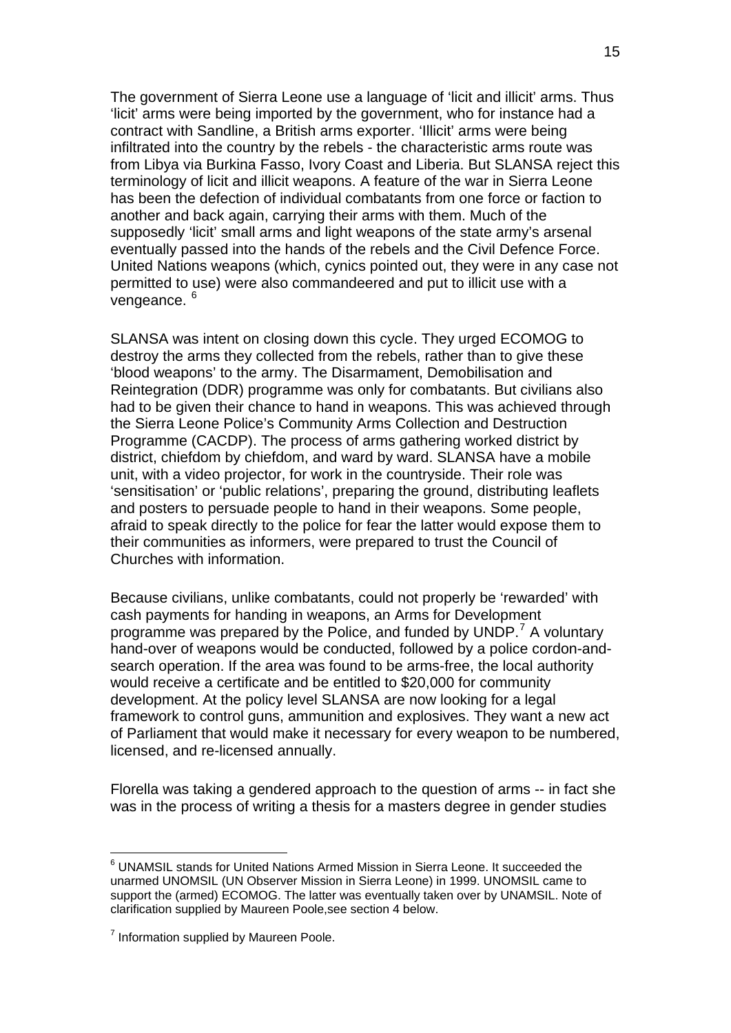The government of Sierra Leone use a language of 'licit and illicit' arms. Thus 'licit' arms were being imported by the government, who for instance had a contract with Sandline, a British arms exporter. 'Illicit' arms were being infiltrated into the country by the rebels - the characteristic arms route was from Libya via Burkina Fasso, Ivory Coast and Liberia. But SLANSA reject this terminology of licit and illicit weapons. A feature of the war in Sierra Leone has been the defection of individual combatants from one force or faction to another and back again, carrying their arms with them. Much of the supposedly 'licit' small arms and light weapons of the state army's arsenal eventually passed into the hands of the rebels and the Civil Defence Force. United Nations weapons (which, cynics pointed out, they were in any case not permitted to use) were also commandeered and put to illicit use with a vengeance. [6](#page-14-0)

SLANSA was intent on closing down this cycle. They urged ECOMOG to destroy the arms they collected from the rebels, rather than to give these 'blood weapons' to the army. The Disarmament, Demobilisation and Reintegration (DDR) programme was only for combatants. But civilians also had to be given their chance to hand in weapons. This was achieved through the Sierra Leone Police's Community Arms Collection and Destruction Programme (CACDP). The process of arms gathering worked district by district, chiefdom by chiefdom, and ward by ward. SLANSA have a mobile unit, with a video projector, for work in the countryside. Their role was 'sensitisation' or 'public relations', preparing the ground, distributing leaflets and posters to persuade people to hand in their weapons. Some people, afraid to speak directly to the police for fear the latter would expose them to their communities as informers, were prepared to trust the Council of Churches with information.

Because civilians, unlike combatants, could not properly be 'rewarded' with cash payments for handing in weapons, an Arms for Development programme was prepared by the Police, and funded by UNDP.<sup>[7](#page-14-1)</sup> A voluntary hand-over of weapons would be conducted, followed by a police cordon-andsearch operation. If the area was found to be arms-free, the local authority would receive a certificate and be entitled to \$20,000 for community development. At the policy level SLANSA are now looking for a legal framework to control guns, ammunition and explosives. They want a new act of Parliament that would make it necessary for every weapon to be numbered, licensed, and re-licensed annually.

Florella was taking a gendered approach to the question of arms -- in fact she was in the process of writing a thesis for a masters degree in gender studies

1

<span id="page-14-0"></span><sup>6</sup> UNAMSIL stands for United Nations Armed Mission in Sierra Leone. It succeeded the unarmed UNOMSIL (UN Observer Mission in Sierra Leone) in 1999. UNOMSIL came to support the (armed) ECOMOG. The latter was eventually taken over by UNAMSIL. Note of clarification supplied by Maureen Poole,see section 4 below.

<span id="page-14-1"></span> $7$  Information supplied by Maureen Poole.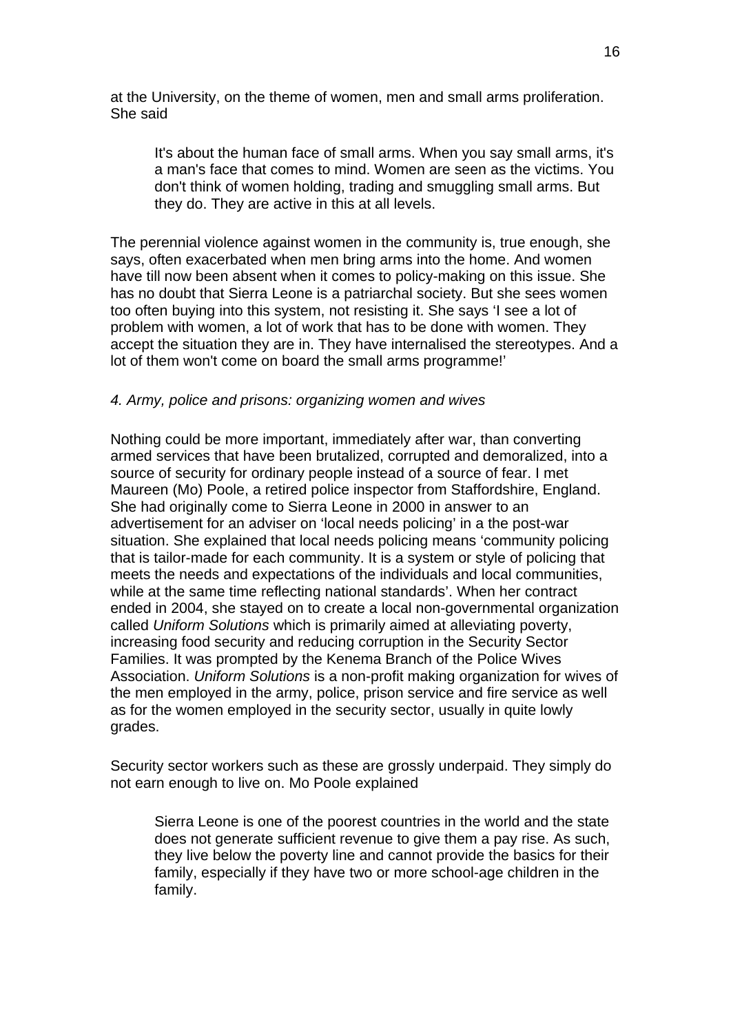at the University, on the theme of women, men and small arms proliferation. She said

It's about the human face of small arms. When you say small arms, it's a man's face that comes to mind. Women are seen as the victims. You don't think of women holding, trading and smuggling small arms. But they do. They are active in this at all levels.

The perennial violence against women in the community is, true enough, she says, often exacerbated when men bring arms into the home. And women have till now been absent when it comes to policy-making on this issue. She has no doubt that Sierra Leone is a patriarchal society. But she sees women too often buying into this system, not resisting it. She says 'I see a lot of problem with women, a lot of work that has to be done with women. They accept the situation they are in. They have internalised the stereotypes. And a lot of them won't come on board the small arms programme!'

### *4. Army, police and prisons: organizing women and wives*

Nothing could be more important, immediately after war, than converting armed services that have been brutalized, corrupted and demoralized, into a source of security for ordinary people instead of a source of fear. I met Maureen (Mo) Poole, a retired police inspector from Staffordshire, England. She had originally come to Sierra Leone in 2000 in answer to an advertisement for an adviser on 'local needs policing' in a the post-war situation. She explained that local needs policing means 'community policing that is tailor-made for each community. It is a system or style of policing that meets the needs and expectations of the individuals and local communities, while at the same time reflecting national standards'. When her contract ended in 2004, she stayed on to create a local non-governmental organization called *Uniform Solutions* which is primarily aimed at alleviating poverty, increasing food security and reducing corruption in the Security Sector Families. It was prompted by the Kenema Branch of the Police Wives Association. *Uniform Solutions* is a non-profit making organization for wives of the men employed in the army, police, prison service and fire service as well as for the women employed in the security sector, usually in quite lowly grades.

Security sector workers such as these are grossly underpaid. They simply do not earn enough to live on. Mo Poole explained

Sierra Leone is one of the poorest countries in the world and the state does not generate sufficient revenue to give them a pay rise. As such, they live below the poverty line and cannot provide the basics for their family, especially if they have two or more school-age children in the family.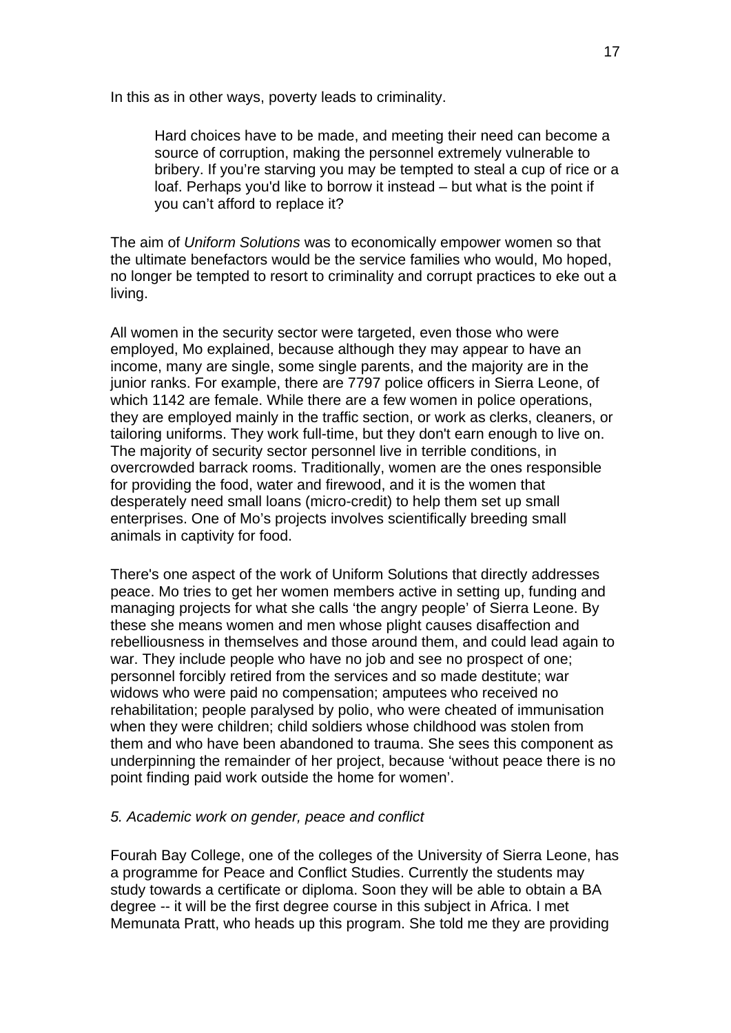In this as in other ways, poverty leads to criminality.

Hard choices have to be made, and meeting their need can become a source of corruption, making the personnel extremely vulnerable to bribery. If you're starving you may be tempted to steal a cup of rice or a loaf. Perhaps you'd like to borrow it instead – but what is the point if you can't afford to replace it?

The aim of *Uniform Solutions* was to economically empower women so that the ultimate benefactors would be the service families who would, Mo hoped, no longer be tempted to resort to criminality and corrupt practices to eke out a living.

All women in the security sector were targeted, even those who were employed, Mo explained, because although they may appear to have an income, many are single, some single parents, and the majority are in the junior ranks. For example, there are 7797 police officers in Sierra Leone, of which 1142 are female. While there are a few women in police operations, they are employed mainly in the traffic section, or work as clerks, cleaners, or tailoring uniforms. They work full-time, but they don't earn enough to live on. The majority of security sector personnel live in terrible conditions, in overcrowded barrack rooms. Traditionally, women are the ones responsible for providing the food, water and firewood, and it is the women that desperately need small loans (micro-credit) to help them set up small enterprises. One of Mo's projects involves scientifically breeding small animals in captivity for food.

There's one aspect of the work of Uniform Solutions that directly addresses peace. Mo tries to get her women members active in setting up, funding and managing projects for what she calls 'the angry people' of Sierra Leone. By these she means women and men whose plight causes disaffection and rebelliousness in themselves and those around them, and could lead again to war. They include people who have no job and see no prospect of one; personnel forcibly retired from the services and so made destitute; war widows who were paid no compensation; amputees who received no rehabilitation; people paralysed by polio, who were cheated of immunisation when they were children; child soldiers whose childhood was stolen from them and who have been abandoned to trauma. She sees this component as underpinning the remainder of her project, because 'without peace there is no point finding paid work outside the home for women'.

### *5. Academic work on gender, peace and conflict*

Fourah Bay College, one of the colleges of the University of Sierra Leone, has a programme for Peace and Conflict Studies. Currently the students may study towards a certificate or diploma. Soon they will be able to obtain a BA degree -- it will be the first degree course in this subject in Africa. I met Memunata Pratt, who heads up this program. She told me they are providing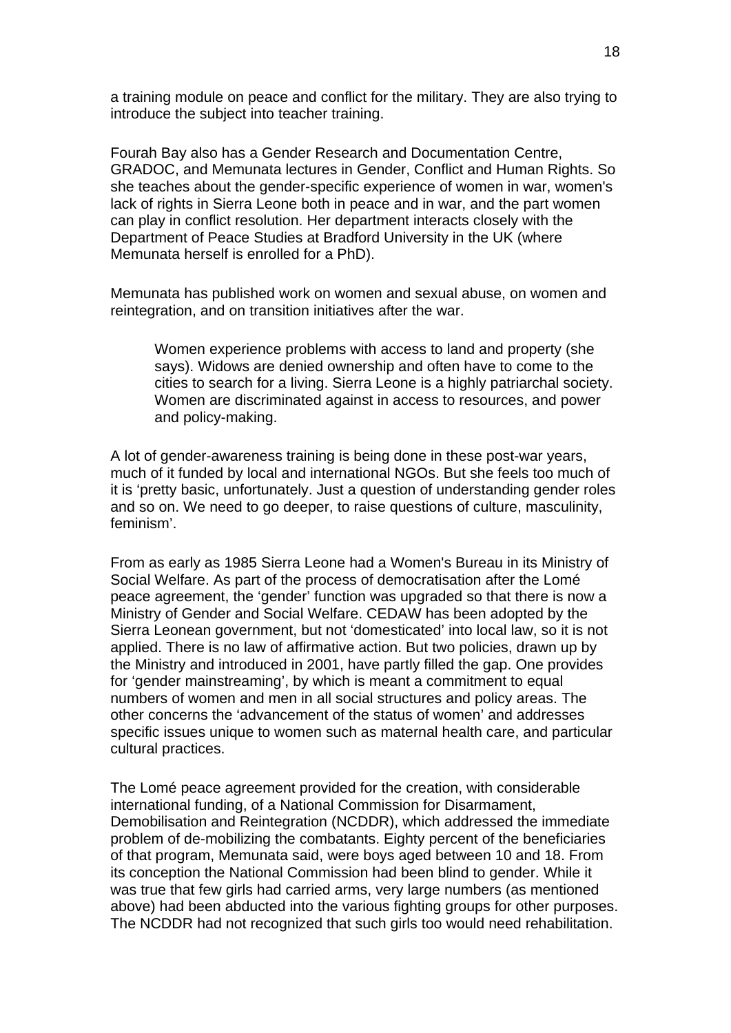a training module on peace and conflict for the military. They are also trying to introduce the subject into teacher training.

Fourah Bay also has a Gender Research and Documentation Centre, GRADOC, and Memunata lectures in Gender, Conflict and Human Rights. So she teaches about the gender-specific experience of women in war, women's lack of rights in Sierra Leone both in peace and in war, and the part women can play in conflict resolution. Her department interacts closely with the Department of Peace Studies at Bradford University in the UK (where Memunata herself is enrolled for a PhD).

Memunata has published work on women and sexual abuse, on women and reintegration, and on transition initiatives after the war.

Women experience problems with access to land and property (she says). Widows are denied ownership and often have to come to the cities to search for a living. Sierra Leone is a highly patriarchal society. Women are discriminated against in access to resources, and power and policy-making.

A lot of gender-awareness training is being done in these post-war years, much of it funded by local and international NGOs. But she feels too much of it is 'pretty basic, unfortunately. Just a question of understanding gender roles and so on. We need to go deeper, to raise questions of culture, masculinity, feminism'.

From as early as 1985 Sierra Leone had a Women's Bureau in its Ministry of Social Welfare. As part of the process of democratisation after the Lomé peace agreement, the 'gender' function was upgraded so that there is now a Ministry of Gender and Social Welfare. CEDAW has been adopted by the Sierra Leonean government, but not 'domesticated' into local law, so it is not applied. There is no law of affirmative action. But two policies, drawn up by the Ministry and introduced in 2001, have partly filled the gap. One provides for 'gender mainstreaming', by which is meant a commitment to equal numbers of women and men in all social structures and policy areas. The other concerns the 'advancement of the status of women' and addresses specific issues unique to women such as maternal health care, and particular cultural practices.

The Lomé peace agreement provided for the creation, with considerable international funding, of a National Commission for Disarmament, Demobilisation and Reintegration (NCDDR), which addressed the immediate problem of de-mobilizing the combatants. Eighty percent of the beneficiaries of that program, Memunata said, were boys aged between 10 and 18. From its conception the National Commission had been blind to gender. While it was true that few girls had carried arms, very large numbers (as mentioned above) had been abducted into the various fighting groups for other purposes. The NCDDR had not recognized that such girls too would need rehabilitation.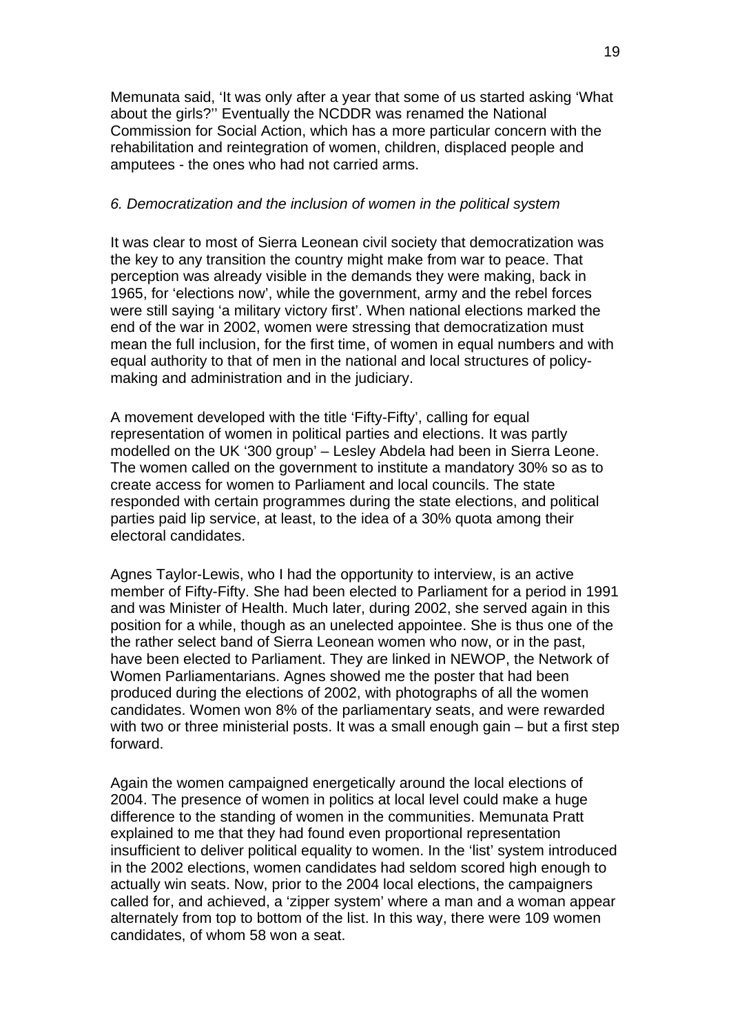Memunata said, 'It was only after a year that some of us started asking 'What about the girls?'' Eventually the NCDDR was renamed the National Commission for Social Action, which has a more particular concern with the rehabilitation and reintegration of women, children, displaced people and amputees - the ones who had not carried arms.

#### *6. Democratization and the inclusion of women in the political system*

It was clear to most of Sierra Leonean civil society that democratization was the key to any transition the country might make from war to peace. That perception was already visible in the demands they were making, back in 1965, for 'elections now', while the government, army and the rebel forces were still saying 'a military victory first'. When national elections marked the end of the war in 2002, women were stressing that democratization must mean the full inclusion, for the first time, of women in equal numbers and with equal authority to that of men in the national and local structures of policymaking and administration and in the judiciary.

A movement developed with the title 'Fifty-Fifty', calling for equal representation of women in political parties and elections. It was partly modelled on the UK '300 group' – Lesley Abdela had been in Sierra Leone. The women called on the government to institute a mandatory 30% so as to create access for women to Parliament and local councils. The state responded with certain programmes during the state elections, and political parties paid lip service, at least, to the idea of a 30% quota among their electoral candidates.

Agnes Taylor-Lewis, who I had the opportunity to interview, is an active member of Fifty-Fifty. She had been elected to Parliament for a period in 1991 and was Minister of Health. Much later, during 2002, she served again in this position for a while, though as an unelected appointee. She is thus one of the the rather select band of Sierra Leonean women who now, or in the past, have been elected to Parliament. They are linked in NEWOP, the Network of Women Parliamentarians. Agnes showed me the poster that had been produced during the elections of 2002, with photographs of all the women candidates. Women won 8% of the parliamentary seats, and were rewarded with two or three ministerial posts. It was a small enough gain – but a first step forward.

Again the women campaigned energetically around the local elections of 2004. The presence of women in politics at local level could make a huge difference to the standing of women in the communities. Memunata Pratt explained to me that they had found even proportional representation insufficient to deliver political equality to women. In the 'list' system introduced in the 2002 elections, women candidates had seldom scored high enough to actually win seats. Now, prior to the 2004 local elections, the campaigners called for, and achieved, a 'zipper system' where a man and a woman appear alternately from top to bottom of the list. In this way, there were 109 women candidates, of whom 58 won a seat.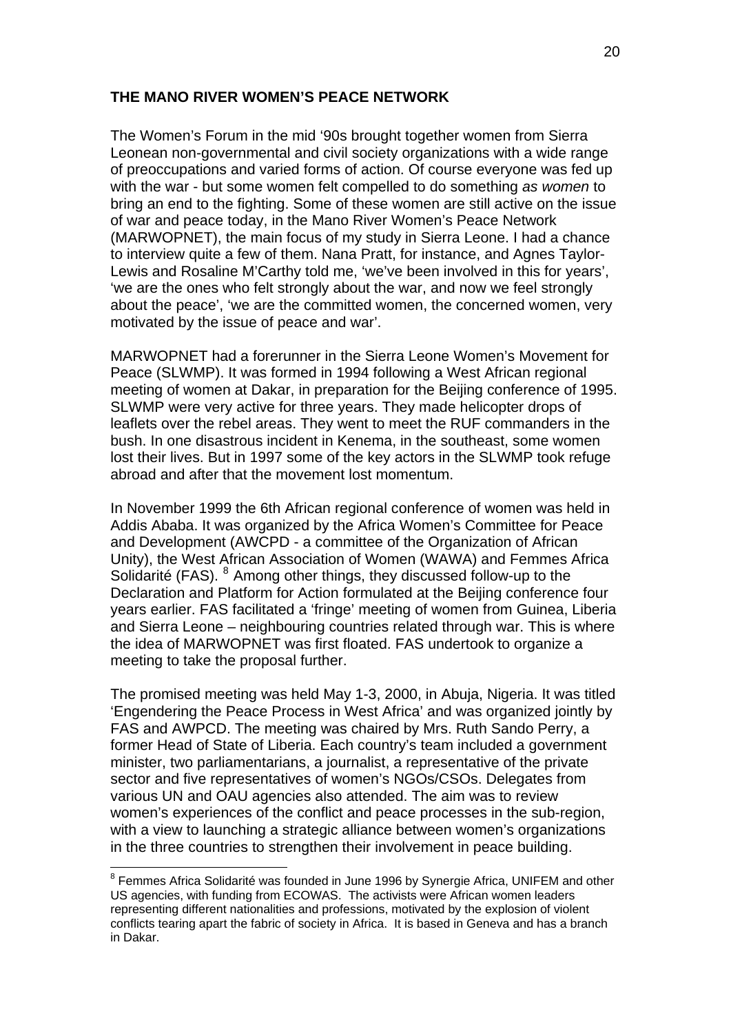### **THE MANO RIVER WOMEN'S PEACE NETWORK**

The Women's Forum in the mid '90s brought together women from Sierra Leonean non-governmental and civil society organizations with a wide range of preoccupations and varied forms of action. Of course everyone was fed up with the war - but some women felt compelled to do something *as women* to bring an end to the fighting. Some of these women are still active on the issue of war and peace today, in the Mano River Women's Peace Network (MARWOPNET), the main focus of my study in Sierra Leone. I had a chance to interview quite a few of them. Nana Pratt, for instance, and Agnes Taylor-Lewis and Rosaline M'Carthy told me, 'we've been involved in this for years', 'we are the ones who felt strongly about the war, and now we feel strongly about the peace', 'we are the committed women, the concerned women, very motivated by the issue of peace and war'.

MARWOPNET had a forerunner in the Sierra Leone Women's Movement for Peace (SLWMP). It was formed in 1994 following a West African regional meeting of women at Dakar, in preparation for the Beijing conference of 1995. SLWMP were very active for three years. They made helicopter drops of leaflets over the rebel areas. They went to meet the RUF commanders in the bush. In one disastrous incident in Kenema, in the southeast, some women lost their lives. But in 1997 some of the key actors in the SLWMP took refuge abroad and after that the movement lost momentum.

In November 1999 the 6th African regional conference of women was held in Addis Ababa. It was organized by the Africa Women's Committee for Peace and Development (AWCPD - a committee of the Organization of African Unity), the West African Association of Women (WAWA) and Femmes Africa Solidarité (FAS). <sup>[8](#page-19-0)</sup> Among other things, they discussed follow-up to the Declaration and Platform for Action formulated at the Beijing conference four years earlier. FAS facilitated a 'fringe' meeting of women from Guinea, Liberia and Sierra Leone – neighbouring countries related through war. This is where the idea of MARWOPNET was first floated. FAS undertook to organize a meeting to take the proposal further.

The promised meeting was held May 1-3, 2000, in Abuja, Nigeria. It was titled 'Engendering the Peace Process in West Africa' and was organized jointly by FAS and AWPCD. The meeting was chaired by Mrs. Ruth Sando Perry, a former Head of State of Liberia. Each country's team included a government minister, two parliamentarians, a journalist, a representative of the private sector and five representatives of women's NGOs/CSOs. Delegates from various UN and OAU agencies also attended. The aim was to review women's experiences of the conflict and peace processes in the sub-region, with a view to launching a strategic alliance between women's organizations in the three countries to strengthen their involvement in peace building.

1

<span id="page-19-0"></span><sup>&</sup>lt;sup>8</sup> Femmes Africa Solidarité was founded in June 1996 by Synergie Africa, UNIFEM and other US agencies, with funding from ECOWAS. The activists were African women leaders representing different nationalities and professions, motivated by the explosion of violent conflicts tearing apart the fabric of society in Africa. It is based in Geneva and has a branch in Dakar.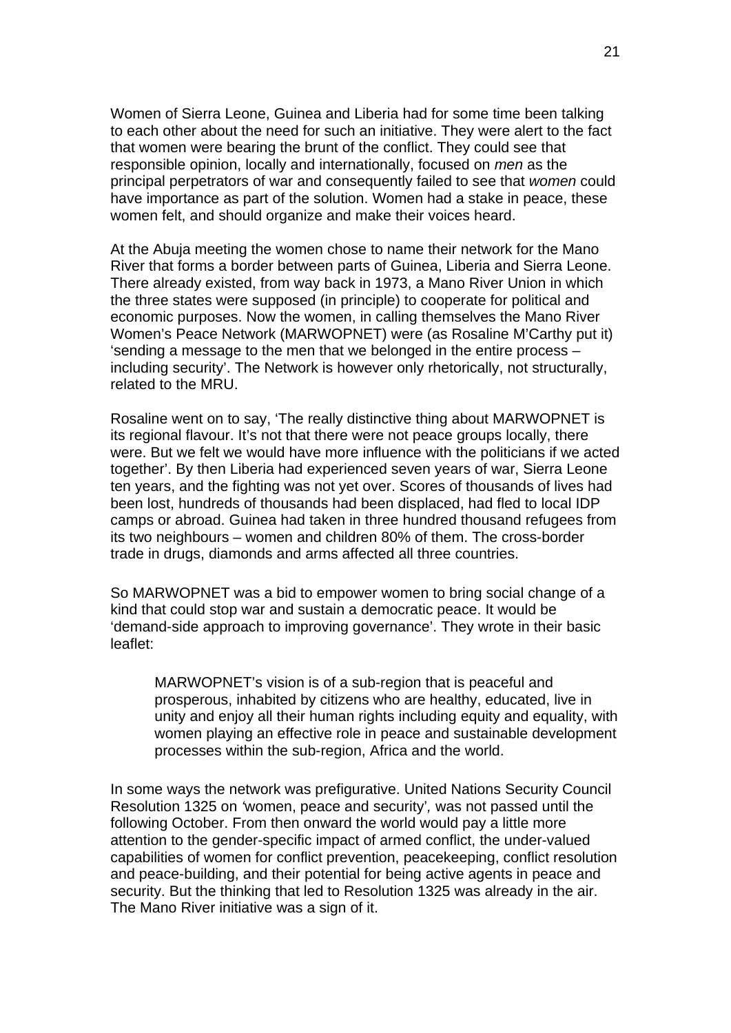Women of Sierra Leone, Guinea and Liberia had for some time been talking to each other about the need for such an initiative. They were alert to the fact that women were bearing the brunt of the conflict. They could see that responsible opinion, locally and internationally, focused on *men* as the principal perpetrators of war and consequently failed to see that *women* could have importance as part of the solution. Women had a stake in peace, these women felt, and should organize and make their voices heard.

At the Abuja meeting the women chose to name their network for the Mano River that forms a border between parts of Guinea, Liberia and Sierra Leone. There already existed, from way back in 1973, a Mano River Union in which the three states were supposed (in principle) to cooperate for political and economic purposes. Now the women, in calling themselves the Mano River Women's Peace Network (MARWOPNET) were (as Rosaline M'Carthy put it) 'sending a message to the men that we belonged in the entire process – including security'. The Network is however only rhetorically, not structurally, related to the MRU.

Rosaline went on to say, 'The really distinctive thing about MARWOPNET is its regional flavour. It's not that there were not peace groups locally, there were. But we felt we would have more influence with the politicians if we acted together'. By then Liberia had experienced seven years of war, Sierra Leone ten years, and the fighting was not yet over. Scores of thousands of lives had been lost, hundreds of thousands had been displaced, had fled to local IDP camps or abroad. Guinea had taken in three hundred thousand refugees from its two neighbours – women and children 80% of them. The cross-border trade in drugs, diamonds and arms affected all three countries.

So MARWOPNET was a bid to empower women to bring social change of a kind that could stop war and sustain a democratic peace. It would be 'demand-side approach to improving governance'. They wrote in their basic leaflet:

MARWOPNET's vision is of a sub-region that is peaceful and prosperous, inhabited by citizens who are healthy, educated, live in unity and enjoy all their human rights including equity and equality, with women playing an effective role in peace and sustainable development processes within the sub-region, Africa and the world.

In some ways the network was prefigurative. United Nations Security Council Resolution 1325 on *'*women, peace and security'*,* was not passed until the following October. From then onward the world would pay a little more attention to the gender-specific impact of armed conflict, the under-valued capabilities of women for conflict prevention, peacekeeping, conflict resolution and peace-building, and their potential for being active agents in peace and security. But the thinking that led to Resolution 1325 was already in the air. The Mano River initiative was a sign of it.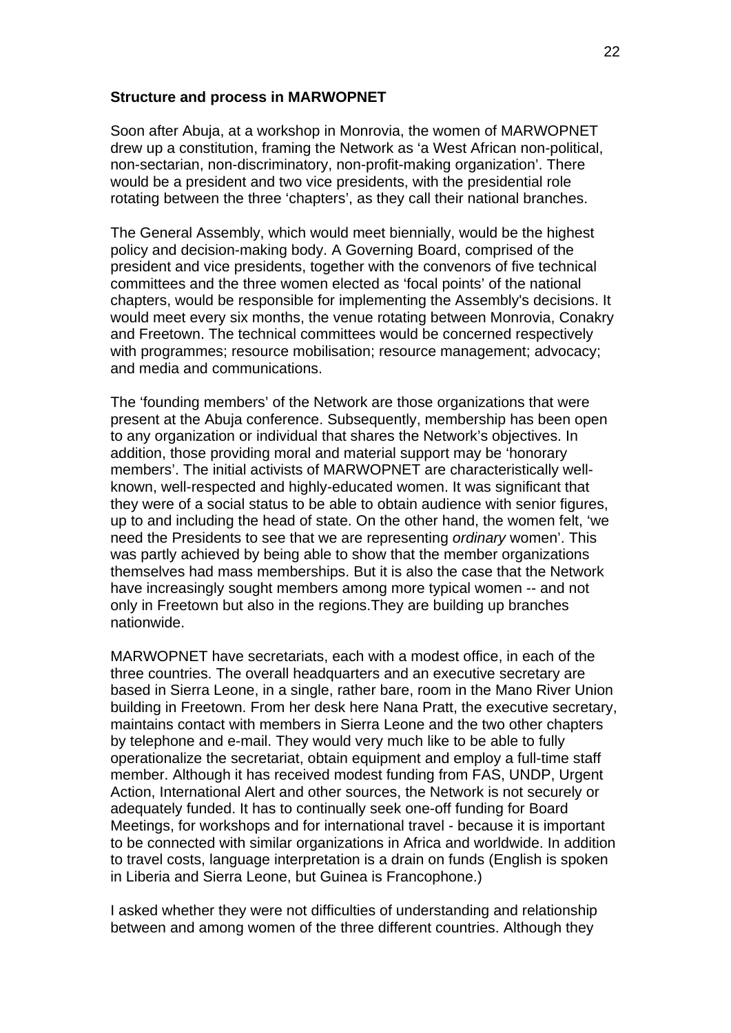#### **Structure and process in MARWOPNET**

Soon after Abuja, at a workshop in Monrovia, the women of MARWOPNET drew up a constitution, framing the Network as 'a West African non-political, non-sectarian, non-discriminatory, non-profit-making organization'. There would be a president and two vice presidents, with the presidential role rotating between the three 'chapters', as they call their national branches.

The General Assembly, which would meet biennially, would be the highest policy and decision-making body. A Governing Board, comprised of the president and vice presidents, together with the convenors of five technical committees and the three women elected as 'focal points' of the national chapters, would be responsible for implementing the Assembly's decisions. It would meet every six months, the venue rotating between Monrovia, Conakry and Freetown. The technical committees would be concerned respectively with programmes; resource mobilisation; resource management; advocacy; and media and communications.

The 'founding members' of the Network are those organizations that were present at the Abuja conference. Subsequently, membership has been open to any organization or individual that shares the Network's objectives. In addition, those providing moral and material support may be 'honorary members'. The initial activists of MARWOPNET are characteristically wellknown, well-respected and highly-educated women. It was significant that they were of a social status to be able to obtain audience with senior figures, up to and including the head of state. On the other hand, the women felt, 'we need the Presidents to see that we are representing *ordinary* women'. This was partly achieved by being able to show that the member organizations themselves had mass memberships. But it is also the case that the Network have increasingly sought members among more typical women -- and not only in Freetown but also in the regions.They are building up branches nationwide.

MARWOPNET have secretariats, each with a modest office, in each of the three countries. The overall headquarters and an executive secretary are based in Sierra Leone, in a single, rather bare, room in the Mano River Union building in Freetown. From her desk here Nana Pratt, the executive secretary, maintains contact with members in Sierra Leone and the two other chapters by telephone and e-mail. They would very much like to be able to fully operationalize the secretariat, obtain equipment and employ a full-time staff member. Although it has received modest funding from FAS, UNDP, Urgent Action, International Alert and other sources, the Network is not securely or adequately funded. It has to continually seek one-off funding for Board Meetings, for workshops and for international travel - because it is important to be connected with similar organizations in Africa and worldwide. In addition to travel costs, language interpretation is a drain on funds (English is spoken in Liberia and Sierra Leone, but Guinea is Francophone.)

I asked whether they were not difficulties of understanding and relationship between and among women of the three different countries. Although they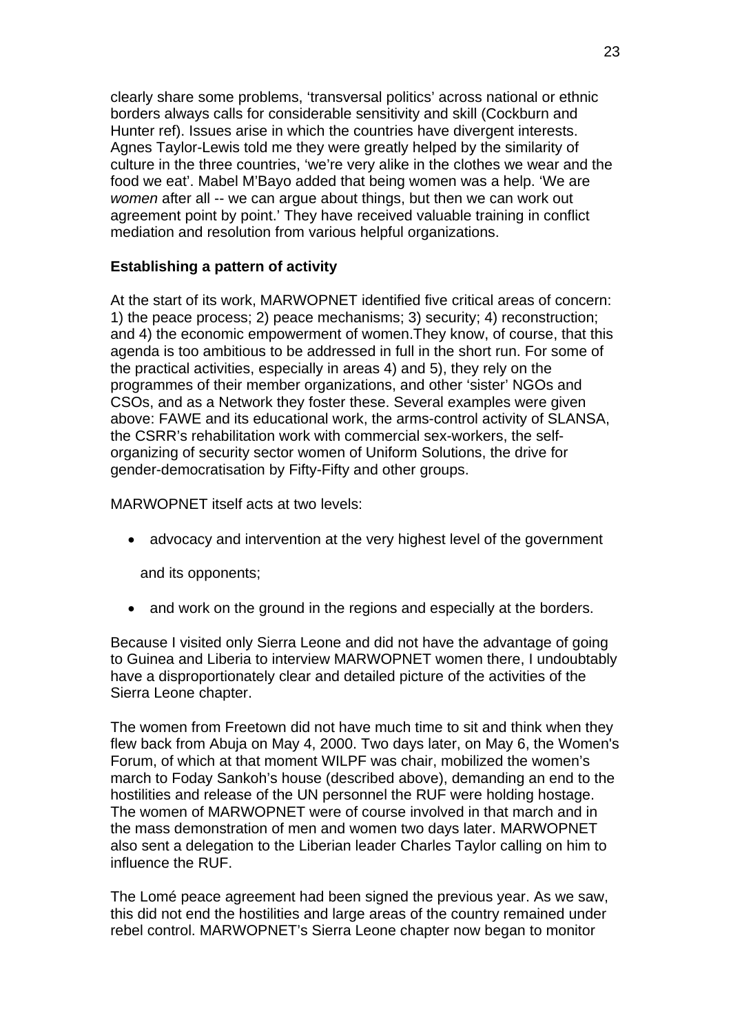clearly share some problems, 'transversal politics' across national or ethnic borders always calls for considerable sensitivity and skill (Cockburn and Hunter ref). Issues arise in which the countries have divergent interests. Agnes Taylor-Lewis told me they were greatly helped by the similarity of culture in the three countries, 'we're very alike in the clothes we wear and the food we eat'. Mabel M'Bayo added that being women was a help. 'We are *women* after all -- we can argue about things, but then we can work out agreement point by point.' They have received valuable training in conflict mediation and resolution from various helpful organizations.

# **Establishing a pattern of activity**

At the start of its work, MARWOPNET identified five critical areas of concern: 1) the peace process; 2) peace mechanisms; 3) security; 4) reconstruction; and 4) the economic empowerment of women.They know, of course, that this agenda is too ambitious to be addressed in full in the short run. For some of the practical activities, especially in areas 4) and 5), they rely on the programmes of their member organizations, and other 'sister' NGOs and CSOs, and as a Network they foster these. Several examples were given above: FAWE and its educational work, the arms-control activity of SLANSA, the CSRR's rehabilitation work with commercial sex-workers, the selforganizing of security sector women of Uniform Solutions, the drive for gender-democratisation by Fifty-Fifty and other groups.

MARWOPNET itself acts at two levels:

• advocacy and intervention at the very highest level of the government

and its opponents;

• and work on the ground in the regions and especially at the borders.

Because I visited only Sierra Leone and did not have the advantage of going to Guinea and Liberia to interview MARWOPNET women there, I undoubtably have a disproportionately clear and detailed picture of the activities of the Sierra Leone chapter.

The women from Freetown did not have much time to sit and think when they flew back from Abuja on May 4, 2000. Two days later, on May 6, the Women's Forum, of which at that moment WILPF was chair, mobilized the women's march to Foday Sankoh's house (described above), demanding an end to the hostilities and release of the UN personnel the RUF were holding hostage. The women of MARWOPNET were of course involved in that march and in the mass demonstration of men and women two days later. MARWOPNET also sent a delegation to the Liberian leader Charles Taylor calling on him to influence the RUF.

The Lomé peace agreement had been signed the previous year. As we saw, this did not end the hostilities and large areas of the country remained under rebel control. MARWOPNET's Sierra Leone chapter now began to monitor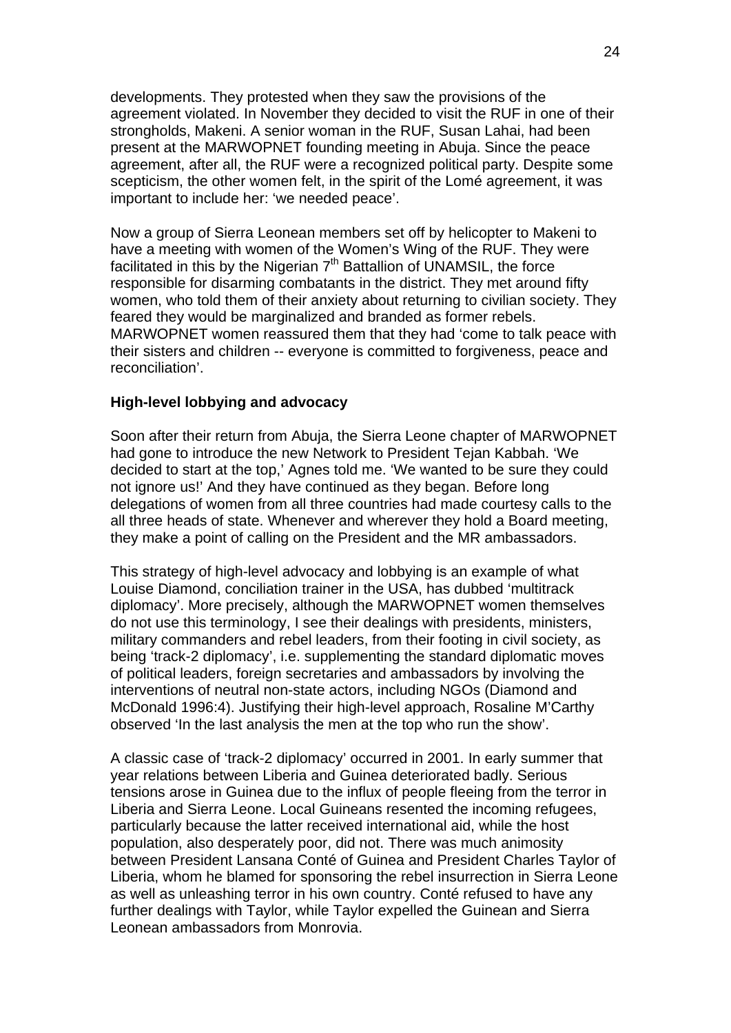developments. They protested when they saw the provisions of the agreement violated. In November they decided to visit the RUF in one of their strongholds, Makeni. A senior woman in the RUF, Susan Lahai, had been present at the MARWOPNET founding meeting in Abuja. Since the peace agreement, after all, the RUF were a recognized political party. Despite some scepticism, the other women felt, in the spirit of the Lomé agreement, it was important to include her: 'we needed peace'.

Now a group of Sierra Leonean members set off by helicopter to Makeni to have a meeting with women of the Women's Wing of the RUF. They were facilitated in this by the Nigerian 7<sup>th</sup> Battallion of UNAMSIL, the force responsible for disarming combatants in the district. They met around fifty women, who told them of their anxiety about returning to civilian society. They feared they would be marginalized and branded as former rebels. MARWOPNET women reassured them that they had 'come to talk peace with their sisters and children -- everyone is committed to forgiveness, peace and reconciliation'.

### **High-level lobbying and advocacy**

Soon after their return from Abuja, the Sierra Leone chapter of MARWOPNET had gone to introduce the new Network to President Tejan Kabbah. 'We decided to start at the top,' Agnes told me. 'We wanted to be sure they could not ignore us!' And they have continued as they began. Before long delegations of women from all three countries had made courtesy calls to the all three heads of state. Whenever and wherever they hold a Board meeting, they make a point of calling on the President and the MR ambassadors.

This strategy of high-level advocacy and lobbying is an example of what Louise Diamond, conciliation trainer in the USA, has dubbed 'multitrack diplomacy'. More precisely, although the MARWOPNET women themselves do not use this terminology, I see their dealings with presidents, ministers, military commanders and rebel leaders, from their footing in civil society, as being 'track-2 diplomacy', i.e. supplementing the standard diplomatic moves of political leaders, foreign secretaries and ambassadors by involving the interventions of neutral non-state actors, including NGOs (Diamond and McDonald 1996:4). Justifying their high-level approach, Rosaline M'Carthy observed 'In the last analysis the men at the top who run the show'.

A classic case of 'track-2 diplomacy' occurred in 2001. In early summer that year relations between Liberia and Guinea deteriorated badly. Serious tensions arose in Guinea due to the influx of people fleeing from the terror in Liberia and Sierra Leone. Local Guineans resented the incoming refugees, particularly because the latter received international aid, while the host population, also desperately poor, did not. There was much animosity between President Lansana Conté of Guinea and President Charles Taylor of Liberia, whom he blamed for sponsoring the rebel insurrection in Sierra Leone as well as unleashing terror in his own country. Conté refused to have any further dealings with Taylor, while Taylor expelled the Guinean and Sierra Leonean ambassadors from Monrovia.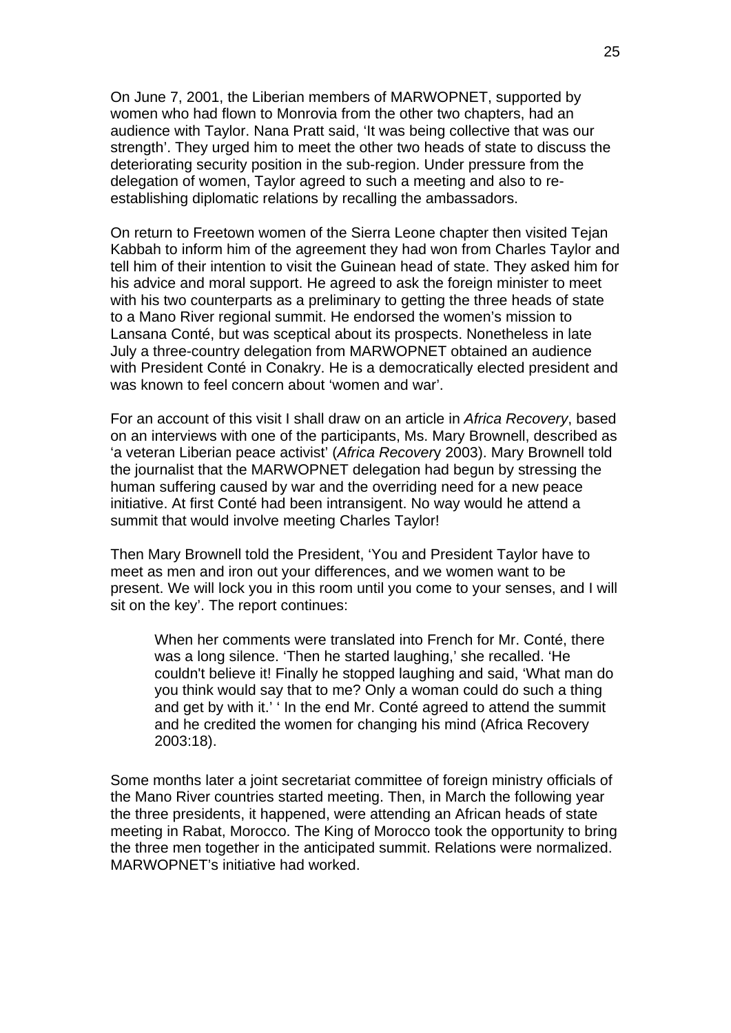On June 7, 2001, the Liberian members of MARWOPNET, supported by women who had flown to Monrovia from the other two chapters, had an audience with Taylor. Nana Pratt said, 'It was being collective that was our strength'. They urged him to meet the other two heads of state to discuss the deteriorating security position in the sub-region. Under pressure from the delegation of women, Taylor agreed to such a meeting and also to reestablishing diplomatic relations by recalling the ambassadors.

On return to Freetown women of the Sierra Leone chapter then visited Tejan Kabbah to inform him of the agreement they had won from Charles Taylor and tell him of their intention to visit the Guinean head of state. They asked him for his advice and moral support. He agreed to ask the foreign minister to meet with his two counterparts as a preliminary to getting the three heads of state to a Mano River regional summit. He endorsed the women's mission to Lansana Conté, but was sceptical about its prospects. Nonetheless in late July a three-country delegation from MARWOPNET obtained an audience with President Conté in Conakry. He is a democratically elected president and was known to feel concern about 'women and war'.

For an account of this visit I shall draw on an article in *Africa Recovery*, based on an interviews with one of the participants, Ms. Mary Brownell, described as 'a veteran Liberian peace activist' (*Africa Recover*y 2003). Mary Brownell told the journalist that the MARWOPNET delegation had begun by stressing the human suffering caused by war and the overriding need for a new peace initiative. At first Conté had been intransigent. No way would he attend a summit that would involve meeting Charles Taylor!

Then Mary Brownell told the President, 'You and President Taylor have to meet as men and iron out your differences, and we women want to be present. We will lock you in this room until you come to your senses, and I will sit on the key'. The report continues:

When her comments were translated into French for Mr. Conté, there was a long silence. 'Then he started laughing,' she recalled. 'He couldn't believe it! Finally he stopped laughing and said, 'What man do you think would say that to me? Only a woman could do such a thing and get by with it.' ' In the end Mr. Conté agreed to attend the summit and he credited the women for changing his mind (Africa Recovery 2003:18).

Some months later a joint secretariat committee of foreign ministry officials of the Mano River countries started meeting. Then, in March the following year the three presidents, it happened, were attending an African heads of state meeting in Rabat, Morocco. The King of Morocco took the opportunity to bring the three men together in the anticipated summit. Relations were normalized. MARWOPNET's initiative had worked.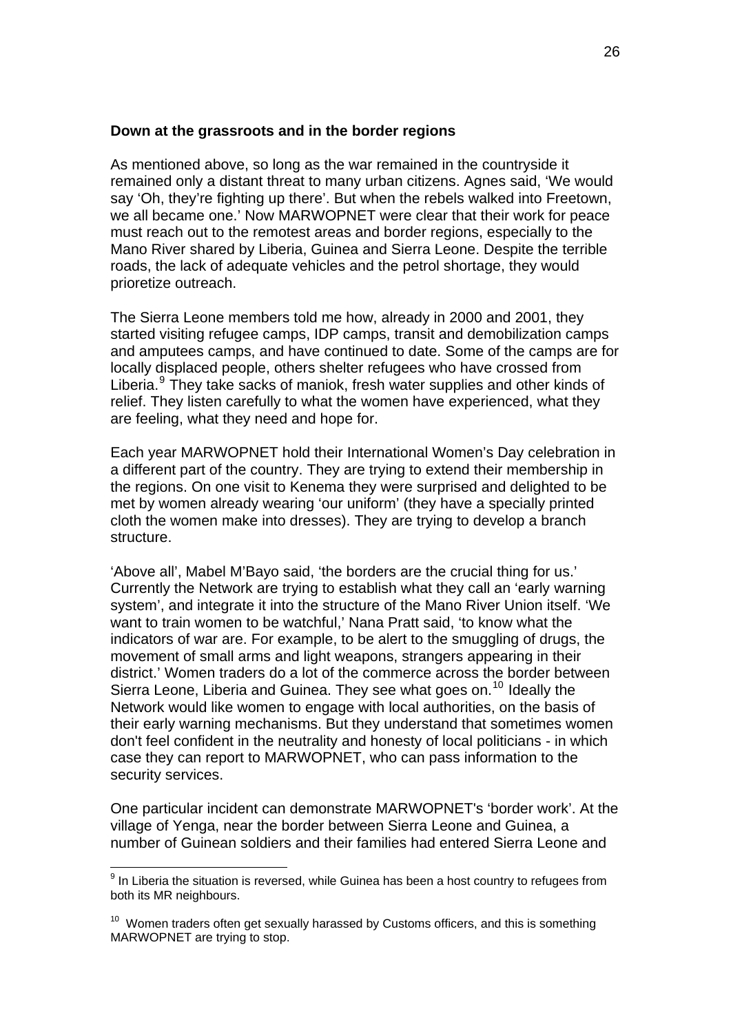### **Down at the grassroots and in the border regions**

As mentioned above, so long as the war remained in the countryside it remained only a distant threat to many urban citizens. Agnes said, 'We would say 'Oh, they're fighting up there'. But when the rebels walked into Freetown, we all became one.' Now MARWOPNET were clear that their work for peace must reach out to the remotest areas and border regions, especially to the Mano River shared by Liberia, Guinea and Sierra Leone. Despite the terrible roads, the lack of adequate vehicles and the petrol shortage, they would prioretize outreach.

The Sierra Leone members told me how, already in 2000 and 2001, they started visiting refugee camps, IDP camps, transit and demobilization camps and amputees camps, and have continued to date. Some of the camps are for locally displaced people, others shelter refugees who have crossed from Liberia.<sup>[9](#page-25-0)</sup> They take sacks of maniok, fresh water supplies and other kinds of relief. They listen carefully to what the women have experienced, what they are feeling, what they need and hope for.

Each year MARWOPNET hold their International Women's Day celebration in a different part of the country. They are trying to extend their membership in the regions. On one visit to Kenema they were surprised and delighted to be met by women already wearing 'our uniform' (they have a specially printed cloth the women make into dresses). They are trying to develop a branch structure.

'Above all', Mabel M'Bayo said, 'the borders are the crucial thing for us.' Currently the Network are trying to establish what they call an 'early warning system', and integrate it into the structure of the Mano River Union itself. 'We want to train women to be watchful,' Nana Pratt said, 'to know what the indicators of war are. For example, to be alert to the smuggling of drugs, the movement of small arms and light weapons, strangers appearing in their district.' Women traders do a lot of the commerce across the border between Sierra Leone, Liberia and Guinea. They see what goes on.<sup>[10](#page-25-1)</sup> Ideally the Network would like women to engage with local authorities, on the basis of their early warning mechanisms. But they understand that sometimes women don't feel confident in the neutrality and honesty of local politicians - in which case they can report to MARWOPNET, who can pass information to the security services.

One particular incident can demonstrate MARWOPNET's 'border work'. At the village of Yenga, near the border between Sierra Leone and Guinea, a number of Guinean soldiers and their families had entered Sierra Leone and

1

<span id="page-25-0"></span> $9$  In Liberia the situation is reversed, while Guinea has been a host country to refugees from both its MR neighbours.

<span id="page-25-1"></span> $10$  Women traders often get sexually harassed by Customs officers, and this is something MARWOPNET are trying to stop.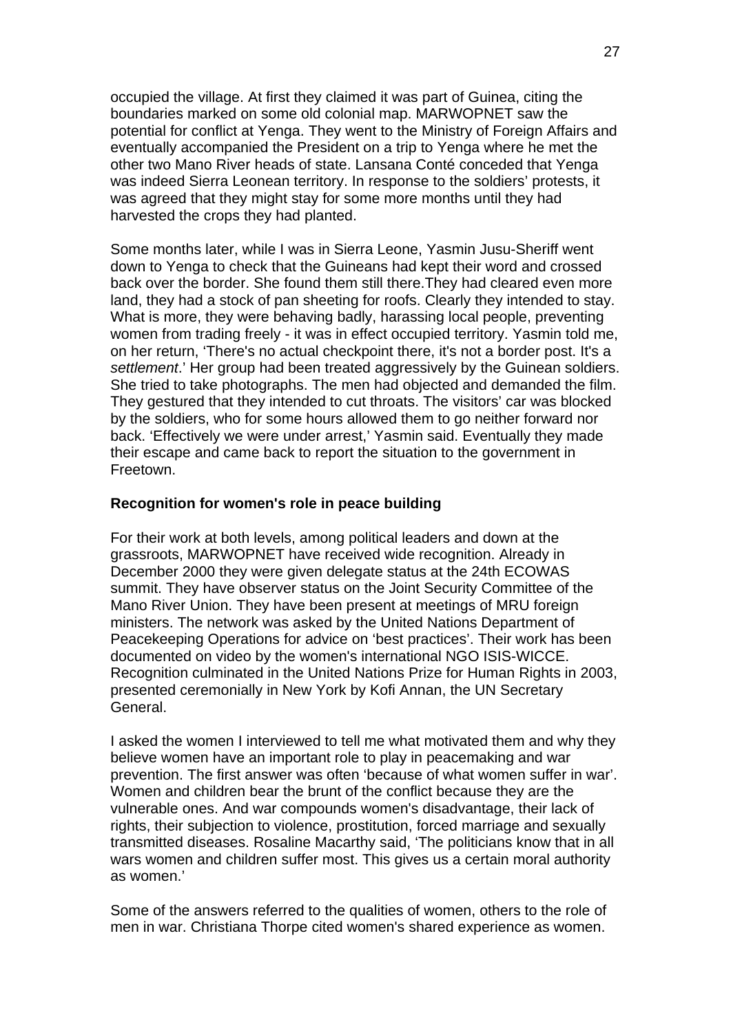occupied the village. At first they claimed it was part of Guinea, citing the boundaries marked on some old colonial map. MARWOPNET saw the potential for conflict at Yenga. They went to the Ministry of Foreign Affairs and eventually accompanied the President on a trip to Yenga where he met the other two Mano River heads of state. Lansana Conté conceded that Yenga was indeed Sierra Leonean territory. In response to the soldiers' protests, it was agreed that they might stay for some more months until they had harvested the crops they had planted.

Some months later, while I was in Sierra Leone, Yasmin Jusu-Sheriff went down to Yenga to check that the Guineans had kept their word and crossed back over the border. She found them still there.They had cleared even more land, they had a stock of pan sheeting for roofs. Clearly they intended to stay. What is more, they were behaving badly, harassing local people, preventing women from trading freely - it was in effect occupied territory. Yasmin told me, on her return, 'There's no actual checkpoint there, it's not a border post. It's a *settlement*.' Her group had been treated aggressively by the Guinean soldiers. She tried to take photographs. The men had objected and demanded the film. They gestured that they intended to cut throats. The visitors' car was blocked by the soldiers, who for some hours allowed them to go neither forward nor back. 'Effectively we were under arrest,' Yasmin said. Eventually they made their escape and came back to report the situation to the government in Freetown.

### **Recognition for women's role in peace building**

For their work at both levels, among political leaders and down at the grassroots, MARWOPNET have received wide recognition. Already in December 2000 they were given delegate status at the 24th ECOWAS summit. They have observer status on the Joint Security Committee of the Mano River Union. They have been present at meetings of MRU foreign ministers. The network was asked by the United Nations Department of Peacekeeping Operations for advice on 'best practices'. Their work has been documented on video by the women's international NGO ISIS-WICCE. Recognition culminated in the United Nations Prize for Human Rights in 2003, presented ceremonially in New York by Kofi Annan, the UN Secretary General.

I asked the women I interviewed to tell me what motivated them and why they believe women have an important role to play in peacemaking and war prevention. The first answer was often 'because of what women suffer in war'. Women and children bear the brunt of the conflict because they are the vulnerable ones. And war compounds women's disadvantage, their lack of rights, their subjection to violence, prostitution, forced marriage and sexually transmitted diseases. Rosaline Macarthy said, 'The politicians know that in all wars women and children suffer most. This gives us a certain moral authority as women.'

Some of the answers referred to the qualities of women, others to the role of men in war. Christiana Thorpe cited women's shared experience as women.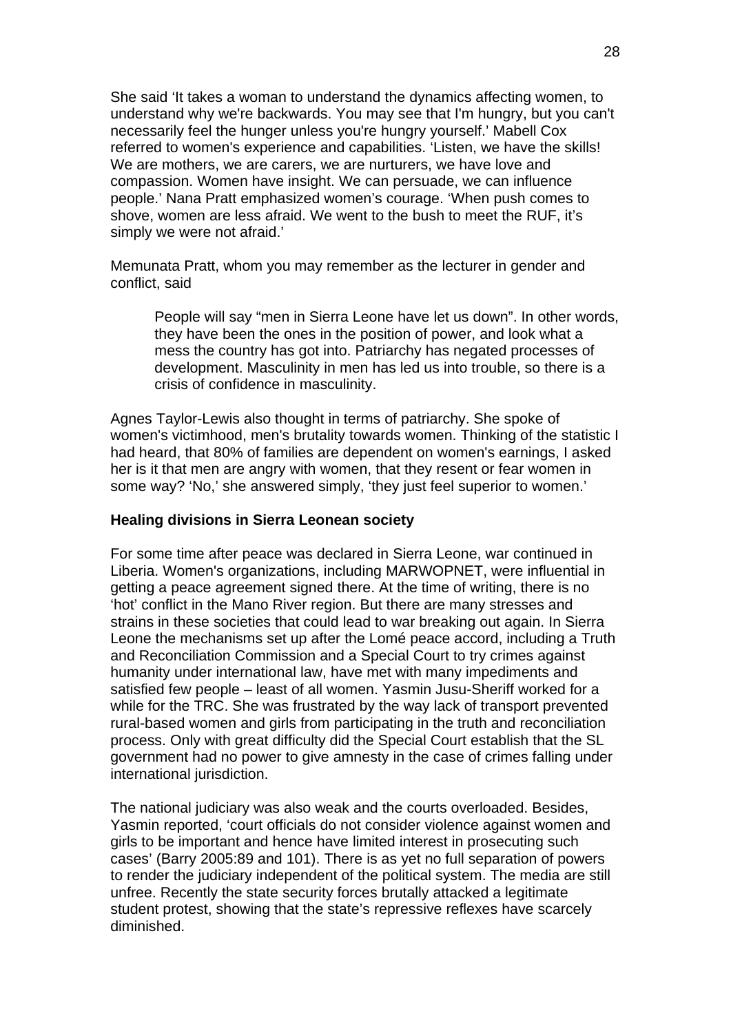She said 'It takes a woman to understand the dynamics affecting women, to understand why we're backwards. You may see that I'm hungry, but you can't necessarily feel the hunger unless you're hungry yourself.' Mabell Cox referred to women's experience and capabilities. 'Listen, we have the skills! We are mothers, we are carers, we are nurturers, we have love and compassion. Women have insight. We can persuade, we can influence people.' Nana Pratt emphasized women's courage. 'When push comes to shove, women are less afraid. We went to the bush to meet the RUF, it's simply we were not afraid.'

Memunata Pratt, whom you may remember as the lecturer in gender and conflict, said

People will say "men in Sierra Leone have let us down". In other words, they have been the ones in the position of power, and look what a mess the country has got into. Patriarchy has negated processes of development. Masculinity in men has led us into trouble, so there is a crisis of confidence in masculinity.

Agnes Taylor-Lewis also thought in terms of patriarchy. She spoke of women's victimhood, men's brutality towards women. Thinking of the statistic I had heard, that 80% of families are dependent on women's earnings, I asked her is it that men are angry with women, that they resent or fear women in some way? 'No,' she answered simply, 'they just feel superior to women.'

#### **Healing divisions in Sierra Leonean society**

For some time after peace was declared in Sierra Leone, war continued in Liberia. Women's organizations, including MARWOPNET, were influential in getting a peace agreement signed there. At the time of writing, there is no 'hot' conflict in the Mano River region. But there are many stresses and strains in these societies that could lead to war breaking out again. In Sierra Leone the mechanisms set up after the Lomé peace accord, including a Truth and Reconciliation Commission and a Special Court to try crimes against humanity under international law, have met with many impediments and satisfied few people – least of all women. Yasmin Jusu-Sheriff worked for a while for the TRC. She was frustrated by the way lack of transport prevented rural-based women and girls from participating in the truth and reconciliation process. Only with great difficulty did the Special Court establish that the SL government had no power to give amnesty in the case of crimes falling under international jurisdiction.

The national judiciary was also weak and the courts overloaded. Besides, Yasmin reported, 'court officials do not consider violence against women and girls to be important and hence have limited interest in prosecuting such cases' (Barry 2005:89 and 101). There is as yet no full separation of powers to render the judiciary independent of the political system. The media are still unfree. Recently the state security forces brutally attacked a legitimate student protest, showing that the state's repressive reflexes have scarcely diminished.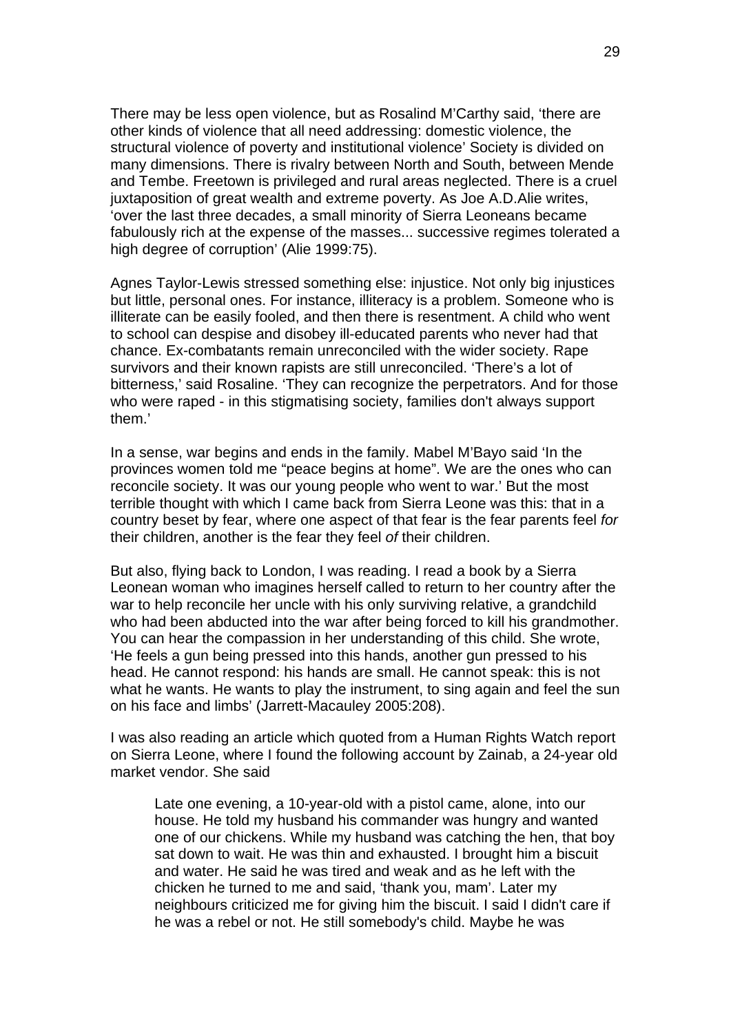There may be less open violence, but as Rosalind M'Carthy said, 'there are other kinds of violence that all need addressing: domestic violence, the structural violence of poverty and institutional violence' Society is divided on many dimensions. There is rivalry between North and South, between Mende and Tembe. Freetown is privileged and rural areas neglected. There is a cruel juxtaposition of great wealth and extreme poverty. As Joe A.D. Alie writes, 'over the last three decades, a small minority of Sierra Leoneans became fabulously rich at the expense of the masses... successive regimes tolerated a high degree of corruption' (Alie 1999:75).

Agnes Taylor-Lewis stressed something else: injustice. Not only big injustices but little, personal ones. For instance, illiteracy is a problem. Someone who is illiterate can be easily fooled, and then there is resentment. A child who went to school can despise and disobey ill-educated parents who never had that chance. Ex-combatants remain unreconciled with the wider society. Rape survivors and their known rapists are still unreconciled. 'There's a lot of bitterness,' said Rosaline. 'They can recognize the perpetrators. And for those who were raped - in this stigmatising society, families don't always support them.'

In a sense, war begins and ends in the family. Mabel M'Bayo said 'In the provinces women told me "peace begins at home". We are the ones who can reconcile society. It was our young people who went to war.' But the most terrible thought with which I came back from Sierra Leone was this: that in a country beset by fear, where one aspect of that fear is the fear parents feel *for* their children, another is the fear they feel *of* their children.

But also, flying back to London, I was reading. I read a book by a Sierra Leonean woman who imagines herself called to return to her country after the war to help reconcile her uncle with his only surviving relative, a grandchild who had been abducted into the war after being forced to kill his grandmother. You can hear the compassion in her understanding of this child. She wrote, 'He feels a gun being pressed into this hands, another gun pressed to his head. He cannot respond: his hands are small. He cannot speak: this is not what he wants. He wants to play the instrument, to sing again and feel the sun on his face and limbs' (Jarrett-Macauley 2005:208).

I was also reading an article which quoted from a Human Rights Watch report on Sierra Leone, where I found the following account by Zainab, a 24-year old market vendor. She said

Late one evening, a 10-year-old with a pistol came, alone, into our house. He told my husband his commander was hungry and wanted one of our chickens. While my husband was catching the hen, that boy sat down to wait. He was thin and exhausted. I brought him a biscuit and water. He said he was tired and weak and as he left with the chicken he turned to me and said, 'thank you, mam'. Later my neighbours criticized me for giving him the biscuit. I said I didn't care if he was a rebel or not. He still somebody's child. Maybe he was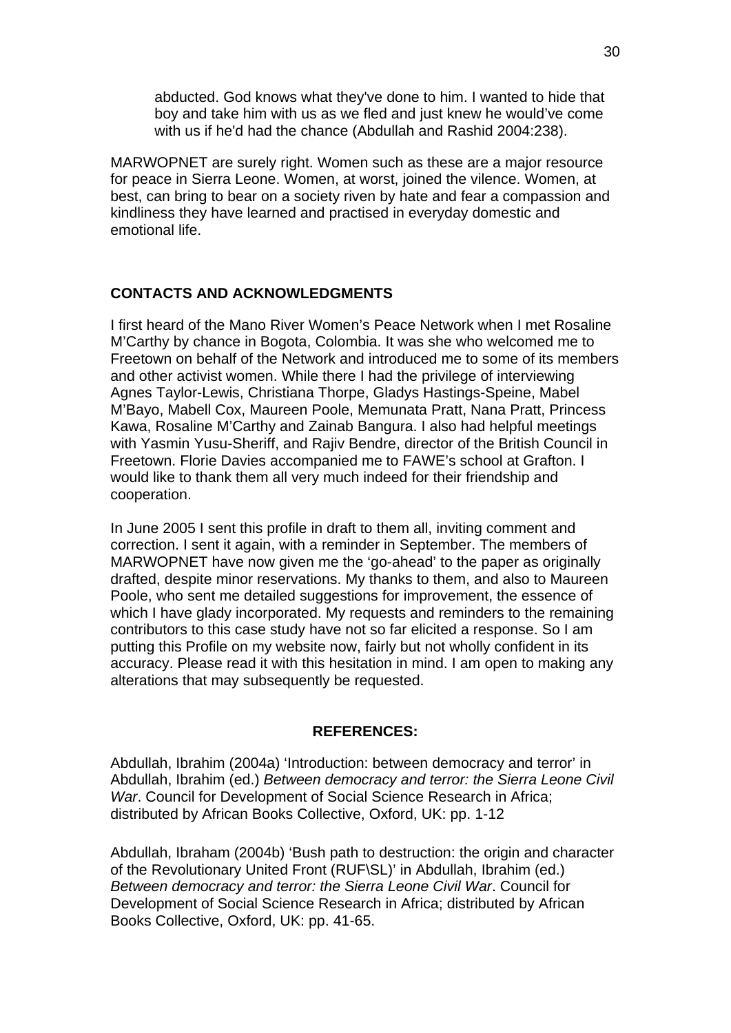abducted. God knows what they've done to him. I wanted to hide that boy and take him with us as we fled and just knew he would've come with us if he'd had the chance (Abdullah and Rashid 2004:238).

MARWOPNET are surely right. Women such as these are a major resource for peace in Sierra Leone. Women, at worst, joined the vilence. Women, at best, can bring to bear on a society riven by hate and fear a compassion and kindliness they have learned and practised in everyday domestic and emotional life.

### **CONTACTS AND ACKNOWLEDGMENTS**

I first heard of the Mano River Women's Peace Network when I met Rosaline M'Carthy by chance in Bogota, Colombia. It was she who welcomed me to Freetown on behalf of the Network and introduced me to some of its members and other activist women. While there I had the privilege of interviewing Agnes Taylor-Lewis, Christiana Thorpe, Gladys Hastings-Speine, Mabel M'Bayo, Mabell Cox, Maureen Poole, Memunata Pratt, Nana Pratt, Princess Kawa, Rosaline M'Carthy and Zainab Bangura. I also had helpful meetings with Yasmin Yusu-Sheriff, and Rajiv Bendre, director of the British Council in Freetown. Florie Davies accompanied me to FAWE's school at Grafton. I would like to thank them all very much indeed for their friendship and cooperation.

In June 2005 I sent this profile in draft to them all, inviting comment and correction. I sent it again, with a reminder in September. The members of MARWOPNET have now given me the 'go-ahead' to the paper as originally drafted, despite minor reservations. My thanks to them, and also to Maureen Poole, who sent me detailed suggestions for improvement, the essence of which I have glady incorporated. My requests and reminders to the remaining contributors to this case study have not so far elicited a response. So I am putting this Profile on my website now, fairly but not wholly confident in its accuracy. Please read it with this hesitation in mind. I am open to making any alterations that may subsequently be requested.

### **REFERENCES:**

Abdullah, Ibrahim (2004a) 'Introduction: between democracy and terror' in Abdullah, Ibrahim (ed.) *Between democracy and terror: the Sierra Leone Civil War*. Council for Development of Social Science Research in Africa; distributed by African Books Collective, Oxford, UK: pp. 1-12

Abdullah, Ibraham (2004b) 'Bush path to destruction: the origin and character of the Revolutionary United Front (RUF\SL)' in Abdullah, Ibrahim (ed.) *Between democracy and terror: the Sierra Leone Civil War*. Council for Development of Social Science Research in Africa; distributed by African Books Collective, Oxford, UK: pp. 41-65.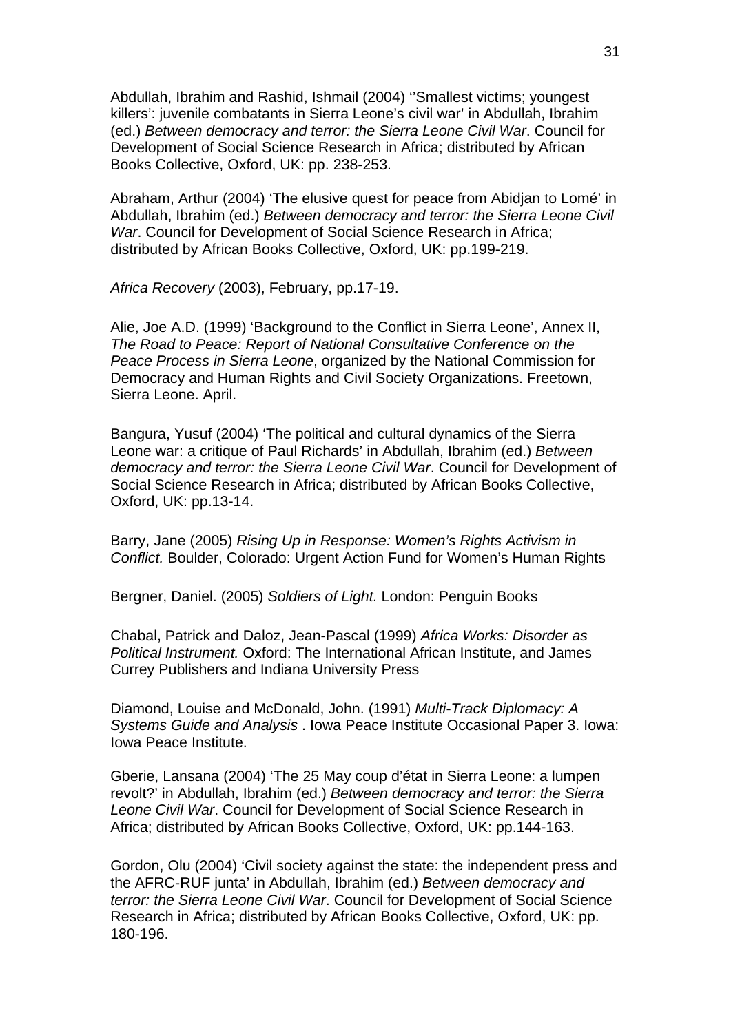Abdullah, Ibrahim and Rashid, Ishmail (2004) ''Smallest victims; youngest killers': juvenile combatants in Sierra Leone's civil war' in Abdullah, Ibrahim (ed.) *Between democracy and terror: the Sierra Leone Civil War*. Council for Development of Social Science Research in Africa; distributed by African Books Collective, Oxford, UK: pp. 238-253.

Abraham, Arthur (2004) 'The elusive quest for peace from Abidjan to Lomé' in Abdullah, Ibrahim (ed.) *Between democracy and terror: the Sierra Leone Civil War*. Council for Development of Social Science Research in Africa; distributed by African Books Collective, Oxford, UK: pp.199-219.

*Africa Recovery* (2003), February, pp.17-19.

Alie, Joe A.D. (1999) 'Background to the Conflict in Sierra Leone', Annex II, *The Road to Peace: Report of National Consultative Conference on the Peace Process in Sierra Leone*, organized by the National Commission for Democracy and Human Rights and Civil Society Organizations. Freetown, Sierra Leone. April.

Bangura, Yusuf (2004) 'The political and cultural dynamics of the Sierra Leone war: a critique of Paul Richards' in Abdullah, Ibrahim (ed.) *Between democracy and terror: the Sierra Leone Civil War*. Council for Development of Social Science Research in Africa; distributed by African Books Collective, Oxford, UK: pp.13-14.

Barry, Jane (2005) *Rising Up in Response: Women's Rights Activism in Conflict.* Boulder, Colorado: Urgent Action Fund for Women's Human Rights

Bergner, Daniel. (2005) *Soldiers of Light.* London: Penguin Books

Chabal, Patrick and Daloz, Jean-Pascal (1999) *Africa Works: Disorder as Political Instrument.* Oxford: The International African Institute, and James Currey Publishers and Indiana University Press

Diamond, Louise and McDonald, John. (1991) *Multi-Track Diplomacy: A Systems Guide and Analysis* . Iowa Peace Institute Occasional Paper 3. Iowa: Iowa Peace Institute.

Gberie, Lansana (2004) 'The 25 May coup d'état in Sierra Leone: a lumpen revolt?' in Abdullah, Ibrahim (ed.) *Between democracy and terror: the Sierra Leone Civil War*. Council for Development of Social Science Research in Africa; distributed by African Books Collective, Oxford, UK: pp.144-163.

Gordon, Olu (2004) 'Civil society against the state: the independent press and the AFRC-RUF junta' in Abdullah, Ibrahim (ed.) *Between democracy and terror: the Sierra Leone Civil War*. Council for Development of Social Science Research in Africa; distributed by African Books Collective, Oxford, UK: pp. 180-196.